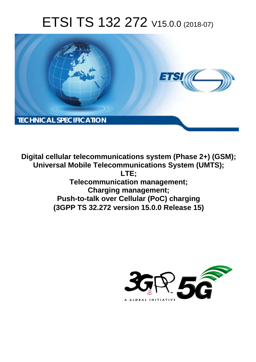# ETSI TS 132 272 V15.0.0 (2018-07)



**Digital cellular telecommunications system (Phase 2+) (GSM); Universal Mobile Telecommunications System (UMTS); LTE; Telecommunication management; Charging management; Push-to-talk over Cellular (PoC) charging (3GPP TS 32.272 version 15.0.0 Release 15)** 

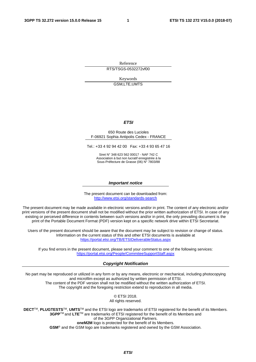Reference

RTS/TSGS-0532272vf00

Keywords GSM,LTE,UMTS

#### *ETSI*

#### 650 Route des Lucioles F-06921 Sophia Antipolis Cedex - FRANCE

Tel.: +33 4 92 94 42 00 Fax: +33 4 93 65 47 16

Siret N° 348 623 562 00017 - NAF 742 C Association à but non lucratif enregistrée à la Sous-Préfecture de Grasse (06) N° 7803/88

#### *Important notice*

The present document can be downloaded from: <http://www.etsi.org/standards-search>

The present document may be made available in electronic versions and/or in print. The content of any electronic and/or print versions of the present document shall not be modified without the prior written authorization of ETSI. In case of any existing or perceived difference in contents between such versions and/or in print, the only prevailing document is the print of the Portable Document Format (PDF) version kept on a specific network drive within ETSI Secretariat.

Users of the present document should be aware that the document may be subject to revision or change of status. Information on the current status of this and other ETSI documents is available at <https://portal.etsi.org/TB/ETSIDeliverableStatus.aspx>

If you find errors in the present document, please send your comment to one of the following services: <https://portal.etsi.org/People/CommiteeSupportStaff.aspx>

#### *Copyright Notification*

No part may be reproduced or utilized in any form or by any means, electronic or mechanical, including photocopying and microfilm except as authorized by written permission of ETSI. The content of the PDF version shall not be modified without the written authorization of ETSI. The copyright and the foregoing restriction extend to reproduction in all media.

> © ETSI 2018. All rights reserved.

**DECT**TM, **PLUGTESTS**TM, **UMTS**TM and the ETSI logo are trademarks of ETSI registered for the benefit of its Members. **3GPP**TM and **LTE**TM are trademarks of ETSI registered for the benefit of its Members and of the 3GPP Organizational Partners. **oneM2M** logo is protected for the benefit of its Members.

**GSM**® and the GSM logo are trademarks registered and owned by the GSM Association.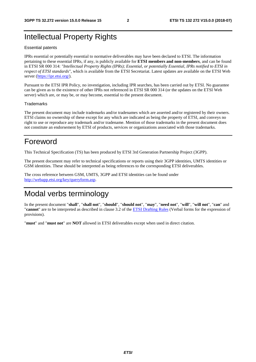# Intellectual Property Rights

#### Essential patents

IPRs essential or potentially essential to normative deliverables may have been declared to ETSI. The information pertaining to these essential IPRs, if any, is publicly available for **ETSI members and non-members**, and can be found in ETSI SR 000 314: *"Intellectual Property Rights (IPRs); Essential, or potentially Essential, IPRs notified to ETSI in respect of ETSI standards"*, which is available from the ETSI Secretariat. Latest updates are available on the ETSI Web server ([https://ipr.etsi.org/\)](https://ipr.etsi.org/).

Pursuant to the ETSI IPR Policy, no investigation, including IPR searches, has been carried out by ETSI. No guarantee can be given as to the existence of other IPRs not referenced in ETSI SR 000 314 (or the updates on the ETSI Web server) which are, or may be, or may become, essential to the present document.

#### **Trademarks**

The present document may include trademarks and/or tradenames which are asserted and/or registered by their owners. ETSI claims no ownership of these except for any which are indicated as being the property of ETSI, and conveys no right to use or reproduce any trademark and/or tradename. Mention of those trademarks in the present document does not constitute an endorsement by ETSI of products, services or organizations associated with those trademarks.

# Foreword

This Technical Specification (TS) has been produced by ETSI 3rd Generation Partnership Project (3GPP).

The present document may refer to technical specifications or reports using their 3GPP identities, UMTS identities or GSM identities. These should be interpreted as being references to the corresponding ETSI deliverables.

The cross reference between GSM, UMTS, 3GPP and ETSI identities can be found under [http://webapp.etsi.org/key/queryform.asp.](http://webapp.etsi.org/key/queryform.asp)

# Modal verbs terminology

In the present document "**shall**", "**shall not**", "**should**", "**should not**", "**may**", "**need not**", "**will**", "**will not**", "**can**" and "**cannot**" are to be interpreted as described in clause 3.2 of the [ETSI Drafting Rules](https://portal.etsi.org/Services/editHelp!/Howtostart/ETSIDraftingRules.aspx) (Verbal forms for the expression of provisions).

"**must**" and "**must not**" are **NOT** allowed in ETSI deliverables except when used in direct citation.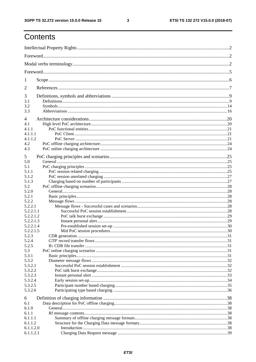$\mathbf{3}$ 

# Contents

| 1          |  |  |  |
|------------|--|--|--|
| 2          |  |  |  |
| 3          |  |  |  |
| 3.1        |  |  |  |
| 3.2<br>3.3 |  |  |  |
|            |  |  |  |
| 4          |  |  |  |
| 4.1        |  |  |  |
| 4.1.1      |  |  |  |
| 4.1.1.1    |  |  |  |
| 4.1.1.2    |  |  |  |
| 4.2        |  |  |  |
| 4.3        |  |  |  |
| 5          |  |  |  |
| 5.0        |  |  |  |
| 5.1        |  |  |  |
| 5.1.1      |  |  |  |
| 5.1.2      |  |  |  |
|            |  |  |  |
| 5.1.3      |  |  |  |
| 5.2        |  |  |  |
| 5.2.0      |  |  |  |
| 5.2.1      |  |  |  |
| 5.2.2      |  |  |  |
| 5.2.2.1    |  |  |  |
| 5.2.2.1.1  |  |  |  |
| 5.2.2.1.2  |  |  |  |
| 5.2.2.1.3  |  |  |  |
| 5.2.2.1.4  |  |  |  |
| 5.2.2.1.5  |  |  |  |
| 5.2.3      |  |  |  |
| 5.2.4      |  |  |  |
| 5.2.5      |  |  |  |
| 5.3        |  |  |  |
| 5.3.1      |  |  |  |
| 5.3.2      |  |  |  |
| 5.3.2.1    |  |  |  |
| 5.3.2.2    |  |  |  |
| 5.3.2.3    |  |  |  |
| 5.3.2.4    |  |  |  |
| 5.3.2.5    |  |  |  |
| 5.3.2.6    |  |  |  |
| 6          |  |  |  |
| 6.1        |  |  |  |
| 6.1.0      |  |  |  |
| 6.1.1      |  |  |  |
| 6.1.1.1    |  |  |  |
| 6.1.1.2    |  |  |  |
| 6.1.1.2.0  |  |  |  |
| 6.1.1.2.1  |  |  |  |
|            |  |  |  |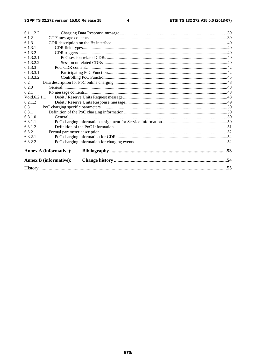| 6.1.1.2.2    |                               |  |  |
|--------------|-------------------------------|--|--|
| 6.1.2        |                               |  |  |
| 6.1.3        |                               |  |  |
| 6.1.3.1      |                               |  |  |
| 6.1.3.2      |                               |  |  |
| 6.1.3.2.1    |                               |  |  |
| 6.1.3.2.2    |                               |  |  |
| 6.1.3.3      |                               |  |  |
| 6.1.3.3.1    |                               |  |  |
| 6.1.3.3.2    |                               |  |  |
| 6.2          |                               |  |  |
| 6.2.0        |                               |  |  |
| 6.2.1        |                               |  |  |
| Void.6.2.1.1 |                               |  |  |
| 6.2.1.2      |                               |  |  |
| 6.3          |                               |  |  |
| 6.3.1        |                               |  |  |
| 6.3.1.0      |                               |  |  |
| 6.3.1.1      |                               |  |  |
| 6.3.1.2      |                               |  |  |
| 6.3.2        |                               |  |  |
| 6.3.2.1      |                               |  |  |
| 6.3.2.2      |                               |  |  |
|              | <b>Annex A (informative):</b> |  |  |
|              | <b>Annex B (informative):</b> |  |  |
|              |                               |  |  |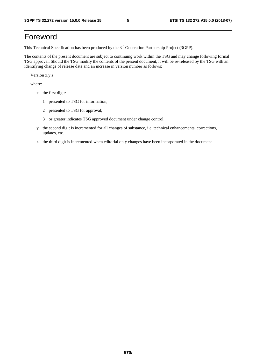# Foreword

This Technical Specification has been produced by the 3rd Generation Partnership Project (3GPP).

The contents of the present document are subject to continuing work within the TSG and may change following formal TSG approval. Should the TSG modify the contents of the present document, it will be re-released by the TSG with an identifying change of release date and an increase in version number as follows:

Version x.y.z

where:

- x the first digit:
	- 1 presented to TSG for information;
	- 2 presented to TSG for approval;
	- 3 or greater indicates TSG approved document under change control.
- y the second digit is incremented for all changes of substance, i.e. technical enhancements, corrections, updates, etc.
- z the third digit is incremented when editorial only changes have been incorporated in the document.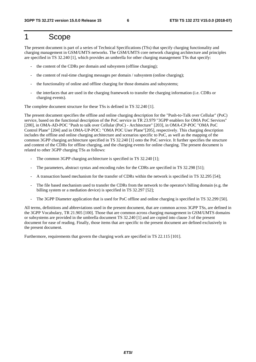# 1 Scope

The present document is part of a series of Technical Specifications (TSs) that specify charging functionality and charging management in GSM/UMTS networks. The GSM/UMTS core network charging architecture and principles are specified in TS 32.240 [1], which provides an umbrella for other charging management TSs that specify:

- the content of the CDRs per domain and subsystem (offline charging);
- the content of real-time charging messages per domain / subsystem (online charging);
- the functionality of online and offline charging for those domains and subsystems;
- the interfaces that are used in the charging framework to transfer the charging information (i.e. CDRs or charging events).

The complete document structure for these TSs is defined in TS 32.240 [1].

The present document specifies the offline and online charging description for the "Push-to-Talk over Cellular" (PoC) service, based on the functional description of the PoC service in TR 23.979 "3GPP enablers for OMA PoC Services" [200], in OMA-AD-POC "Push to talk over Cellular (PoC) - Architecture" [203], in OMA-CP-POC "OMA PoC Control Plane" [204] and in OMA-UP-POC: "OMA POC User Plane"[205], respectively. This charging description includes the offline and online charging architecture and scenarios specific to PoC, as well as the mapping of the common 3GPP charging architecture specified in TS 32.240 [1] onto the PoC service. It further specifies the structure and content of the CDRs for offline charging, and the charging events for online charging. The present document is related to other 3GPP charging TSs as follows:

- The common 3GPP charging architecture is specified in TS 32.240 [1];
- The parameters, abstract syntax and encoding rules for the CDRs are specified in TS 32.298 [51];
- A transaction based mechanism for the transfer of CDRs within the network is specified in TS 32.295 [54];
- The file based mechanism used to transfer the CDRs from the network to the operator's billing domain (e.g. the billing system or a mediation device) is specified in TS 32.297 [52];
- The 3GPP Diameter application that is used for PoC offline and online charging is specified in TS 32.299 [50].

All terms, definitions and abbreviations used in the present document, that are common across 3GPP TSs, are defined in the 3GPP Vocabulary, TR 21.905 [100]. Those that are common across charging management in GSM/UMTS domains or subsystems are provided in the umbrella document TS 32.240 [1] and are copied into clause 3 of the present document for ease of reading. Finally, those items that are specific to the present document are defined exclusively in the present document.

Furthermore, requirements that govern the charging work are specified in TS 22.115 [101].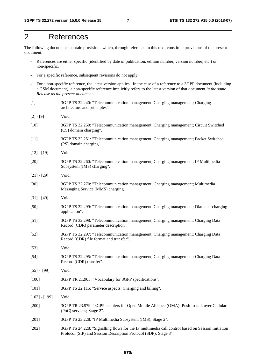# 2 References

The following documents contain provisions which, through reference in this text, constitute provisions of the present document.

- References are either specific (identified by date of publication, edition number, version number, etc.) or non-specific.
- For a specific reference, subsequent revisions do not apply.
- For a non-specific reference, the latest version applies. In the case of a reference to a 3GPP document (including a GSM document), a non-specific reference implicitly refers to the latest version of that document *in the same Release as the present document*.
- [1] 3GPP TS 32.240: "Telecommunication management; Charging management; Charging architecture and principles".
- [2] [9] Void.
- [10] 3GPP TS 32.250: "Telecommunication management; Charging management; Circuit Switched (CS) domain charging".
- [11] 3GPP TS 32.251: "Telecommunication management; Charging management; Packet Switched (PS) domain charging".
- $[12] [19]$  Void.
- [20] 3GPP TS 32.260: "Telecommunication management; Charging management; IP Multimedia Subsystem (IMS) charging".
- [21] [29] Void.
- [30] 3GPP TS 32.270: "Telecommunication management; Charging management; Multimedia Messaging Service (MMS) charging".
- [31] [49] Void.
- [50] 3GPP TS 32.299: "Telecommunication management; Charging management; Diameter charging application".
- [51] 3GPP TS 32.298: "Telecommunication management; Charging management; Charging Data Record (CDR) parameter description".
- [52] 3GPP TS 32.297: "Telecommunication management; Charging management; Charging Data Record (CDR) file format and transfer".
- [53] Void.
- [54] 3GPP TS 32.295: "Telecommunication management; Charging management; Charging Data Record (CDR) transfer".
- [55] [99] Void.
- [100] 3GPP TR 21.905: "Vocabulary for 3GPP specifications".
- [101] 3GPP TS 22.115: "Service aspects; Charging and billing".
- [102] [199] Void.
- [200] 3GPP TR 23.979: "3GPP enablers for Open Mobile Alliance (OMA): Push-to-talk over Cellular (PoC) services; Stage 2".
- [201] 3GPP TS 23.228: "IP Multimedia Subsystem (IMS); Stage 2".
- [202] 3GPP TS 24.228: "Signalling flows for the IP multimedia call control based on Session Initiation Protocol (SIP) and Session Description Protocol (SDP); Stage 3".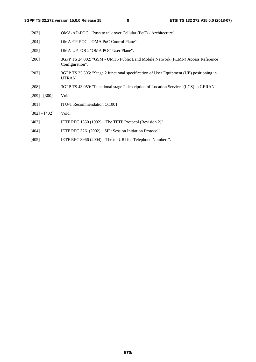| $[203]$         | OMA-AD-POC: "Push to talk over Cellular (PoC) - Architecture".                                     |
|-----------------|----------------------------------------------------------------------------------------------------|
| $[204]$         | OMA-CP-POC: "OMA PoC Control Plane".                                                               |
| $[205]$         | OMA-UP-POC: "OMA POC User Plane".                                                                  |
| $[206]$         | 3GPP TS 24.002: "GSM - UMTS Public Land Mobile Network (PLMN) Access Reference<br>Configuration".  |
| $[207]$         | 3GPP TS 25.305: "Stage 2 functional specification of User Equipment (UE) positioning in<br>UTRAN". |
| $[208]$         | 3GPP TS 43.059: "Functional stage 2 description of Location Services (LCS) in GERAN".              |
| $[209] - [300]$ | Void.                                                                                              |
| [301]           | ITU-T Recommendation Q.1001                                                                        |
| $[302] - [402]$ | Void.                                                                                              |
| [403]           | IETF RFC 1350 (1992): "The TFTP Protocol (Revision 2)".                                            |
| [404]           | IETF RFC 3261(2002): "SIP: Session Initiation Protocol".                                           |
| [405]           | IETF RFC 3966 (2004): "The tel URI for Telephone Numbers".                                         |
|                 |                                                                                                    |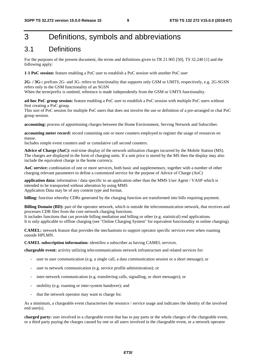# 3 Definitions, symbols and abbreviations

# 3.1 Definitions

For the purposes of the present document, the terms and definitions given in TR 21.905 [50], TS 32.240 [1] and the following apply:

**1-1 PoC session:** feature enabling a PoC user to establish a PoC session with another PoC user

**2G- / 3G-:** prefixes 2G- and 3G- refers to functionality that supports only GSM or UMTS, respectively, e.g. 2G-SGSN refers only to the GSM functionality of an SGSN

When the term/prefix is omitted, reference is made independently from the GSM or UMTS functionality.

**ad-hoc PoC group session:** feature enabling a PoC user to establish a PoC session with multiple PoC users without first creating a PoC group.

This sort of PoC session for multiple PoC users that does not involve the use or definition of a pre-arranged or chat PoC group session.

**accounting:** process of apportioning charges between the Home Environment, Serving Network and Subscriber.

**accounting meter record:** record containing one or more counters employed to register the usage of resources en masse.

Includes simple event counters and/ or cumulative call second counters.

**Advice of Charge (AoC):** real-time display of the network utilization charges incurred by the Mobile Station (MS). The charges are displayed in the form of charging units. If a unit price is stored by the MS then the display may also include the equivalent charge in the home currency.

**AoC service:** combination of one or more services, both basic and supplementary, together with a number of other charging relevant parameters to define a customized service for the purpose of Advice of Charge (AoC)

**application data:** information / data specific to an application other than the MMS User Agent / VASP which is intended to be transported without alteration by using MMS Application Data may be of any content type and format.

**billing:** function whereby CDRs generated by the charging function are transformed into bills requiring payment.

**Billing Domain (BD):** part of the operator network, which is outside the telecommunication network, that receives and processes CDR files from the core network charging functions.

It includes functions that can provide billing mediation and billing or other (e.g. statistical) end applications. It is only applicable to offline charging (see "Online Charging System" for equivalent functionality in online charging).

**CAMEL:** network feature that provides the mechanisms to support operator specific services even when roaming outside HPLMN.

**CAMEL subscription information:** identifies a subscriber as having CAMEL services.

**chargeable event:** activity utilizing telecommunications network infrastructure and related services for:

- user to user communication (e.g. a single call, a data communication session or a short message); or
- user to network communication (e.g. service profile administration); or
- inter-network communication (e.g. transferring calls, signalling, or short messages); or
- mobility (e.g. roaming or inter-system handover); and
- that the network operator may want to charge for.

As a minimum, a chargeable event characterises the resource / service usage and indicates the identity of the involved end user(s).

**charged party:** user involved in a chargeable event that has to pay parts or the whole charges of the chargeable event, or a third party paying the charges caused by one or all users involved in the chargeable event, or a network operator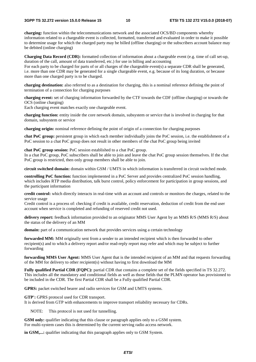**charging:** function within the telecommunications network and the associated OCS/BD components whereby information related to a chargeable event is collected, formatted, transferred and evaluated in order to make it possible to determine usage for which the charged party may be billed (offline charging) or the subscribers account balance may be debited (online charging)

**Charging Data Record (CDR):** formatted collection of information about a chargeable event (e.g. time of call set-up, duration of the call, amount of data transferred, etc.) for use in billing and accounting

For each party to be charged for parts of or all charges of the chargeable event(s) a separate CDR shall be generated, i.e. more than one CDR may be generated for a single chargeable event, e.g. because of its long duration, or because more than one charged party is to be charged.

**charging destination:** also referred to as a destination for charging, this is a nominal reference defining the point of termination of a connection for charging purposes

**charging event:** set of charging information forwarded by the CTF towards the CDF (offline charging) or towards the OCS (online charging)

Each charging event matches exactly one chargeable event.

**charging function:** entity inside the core network domain, subsystem or service that is involved in charging for that domain, subsystem or service

**charging origin:** nominal reference defining the point of origin of a connection for charging purposes

**chat PoC group:** persistent group in which each member individually joins the PoC session, i.e. the establishment of a PoC session to a chat PoC group does not result in other members of the chat PoC group being invited

**chat PoC group session:** PoC session established to a chat PoC group.

In a chat PoC group, PoC subscribers shall be able to join and leave the chat PoC group session themselves. If the chat PoC group is restricted, then only group members shall be able to join.

**circuit switched domain:** domain within GSM / UMTS in which information is transferred in circuit switched mode.

**controlling PoC function:** function implemented in a PoC Server and provides centralized PoC session handling, which includes RTP media distribution, talk burst control, policy enforcement for participation in group sessions, and the participant information

**credit control:** which directly interacts in real-time with an account and controls or monitors the charges, related to the service usage

Credit control is a process of: checking if credit is available, credit reservation, deduction of credit from the end user account when service is completed and refunding of reserved credit not used.

**delivery report:** feedback information provided to an originator MMS User Agent by an MMS R/S (MMS R/S) about the status of the delivery of an MM

**domain:** part of a communication network that provides services using a certain technology

**forwarded MM:** MM originally sent from a sender to an intended recipient which is then forwarded to other recipient(s) and to which a delivery report and/or read-reply report may refer and which may be subject to further forwarding

**forwarding MMS User Agent:** MMS User Agent that is the intended recipient of an MM and that requests forwarding of the MM for delivery to other recipient(s) without having to first download the MM

**Fully qualified Partial CDR (FQPC):** partial CDR that contains a complete set of the fields specified in TS 32.272. This includes all the mandatory and conditional fields as well as those fields that the PLMN operator has provisioned to be included in the CDR. The first Partial CDR shall be a Fully qualified Partial CDR.

GPRS: packet switched bearer and radio services for GSM and UMTS systems.

**GTP':** GPRS protocol used for CDR transport.

It is derived from GTP with enhancements to improve transport reliability necessary for CDRs.

NOTE: This protocol is not used for tunnelling.

**GSM only:** qualifier indicating that this clause or paragraph applies only to a GSM system. For multi-system cases this is determined by the current serving radio access network.

**in GSM,...:** qualifier indicating that this paragraph applies only to GSM System.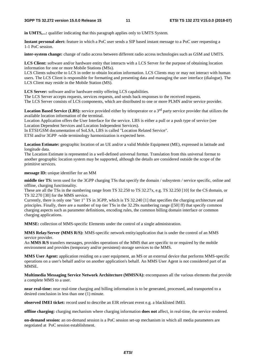**in UMTS**...: qualifier indicating that this paragraph applies only to UMTS System.

**Instant personal alert:** feature in which a PoC user sends a SIP based instant message to a PoC user requesting a 1-1 PoC session.

**inter-system change:** change of radio access between different radio access technologies such as GSM and UMTS.

**LCS Client:** software and/or hardware entity that interacts with a LCS Server for the purpose of obtaining location information for one or more Mobile Stations (MSs).

LCS Clients subscribe to LCS in order to obtain location information. LCS Clients may or may not interact with human users. The LCS Client is responsible for formatting and presenting data and managing the user interface (dialogue). The LCS Client may reside in the Mobile Station (MS).

**LCS Server:** software and/or hardware entity offering LCS capabilities.

The LCS Server accepts requests, services requests, and sends back responses to the received requests.

The LCS Server consists of LCS components, which are distributed to one or more PLMN and/or service provider.

Location Based Service (LBS): service provided either by teleoperator or a 3<sup>rd</sup> party service provider that utilizes the available location information of the terminal.

Location Application offers the User Interface for the service. LBS is either a pull or a push type of service (see Location Dependent Services and Location Independent Services).

In ETSI/GSM documentation of SoLSA, LBS is called "Location Related Service".

ETSI and/or 3GPP -wide terminology harmonization is expected here.

**Location Estimate:** geographic location of an UE and/or a valid Mobile Equipment (ME), expressed in latitude and longitude data.

The Location Estimate is represented in a well-defined universal format. Translation from this universal format to another geographic location system may be supported, although the details are considered outside the scope of the primitive services.

#### **message ID:** unique identifier for an MM

**middle tier TS:** term used for the 3GPP charging TSs that specify the domain / subsystem / service specific, online and offline, charging functionality.

These are all the TSs in the numbering range from TS 32.250 to TS 32.27x, e.g. TS 32.250 [10] for the CS domain, or TS 32.270 [30] for the MMS service.

Currently, there is only one "tier 1" TS in 3GPP, which is TS 32.240 [1] that specifies the charging architecture and principles. Finally, there are a number of top tier TSs in the 32.29x numbering range ([50] ff) that specify common charging aspects such as parameter definitions, encoding rules, the common billing domain interface or common charging applications.

**MMSE:** collection of MMS-specific Elements under the control of a single administration.

**MMS Relay/Server (MMS R/S):** MMS-specific network entity/application that is under the control of an MMS service provider.

An **MMS R/S** transfers messages, provides operations of the MMS that are specific to or required by the mobile environment and provides (temporary and/or persistent) storage services to the MMS.

**MMS User Agent:** application residing on a user equipment, an MS or an external device that performs MMS-specific operations on a user's behalf and/or on another application's behalf. An MMS User Agent is not considered part of an MMSE.

**Multimedia Messaging Service Network Architecture (MMSNA):** encompasses all the various elements that provide a complete MMS to a user.

**near real-time:** near real-time charging and billing information is to be generated, processed, and transported to a desired conclusion in less than one (1) minute.

**observed IMEI ticket:** record used to describe an EIR relevant event e.g. a blacklisted IMEI.

**offline charging:** charging mechanism where charging information **does not** affect, in real-time, the service rendered.

**on-demand session:** an on-demand session is a PoC session set-up mechanism in which all media parameters are negotiated at PoC session establishment.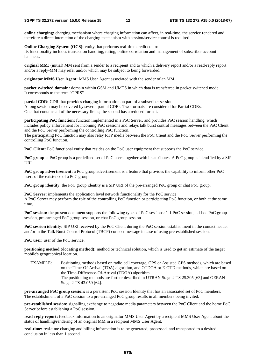**online charging:** charging mechanism where charging information can affect, in real-time, the service rendered and therefore a direct interaction of the charging mechanism with session/service control is required.

**Online Charging System (OCS):** entity that performs real-time credit control. Its functionality includes transaction handling, rating, online correlation and management of subscriber account balances.

**original MM:** (initial) MM sent from a sender to a recipient and to which a delivery report and/or a read-reply report and/or a reply-MM may refer and/or which may be subject to being forwarded.

**originator MMS User Agent:** MMS User Agent associated with the sender of an MM.

**packet switched domain:** domain within GSM and UMTS in which data is transferred in packet switched mode. It corresponds to the term "GPRS".

**partial CDR:** CDR that provides charging information on part of a subscriber session. A long session may be covered by several partial CDRs. Two formats are considered for Partial CDRs. One that contains all of the necessary fields; the second has a reduced format.

**participating PoC function:** function implemented in a PoC Server, and provides PoC session handling, which includes policy enforcement for incoming PoC sessions and relays talk burst control messages between the PoC Client and the PoC Server performing the controlling PoC function.

The participating PoC function may also relay RTP media between the PoC Client and the PoC Server performing the controlling PoC function.

**PoC Client:** PoC functional entity that resides on the PoC user equipment that supports the PoC service.

**PoC group**: a PoC group is a predefined set of PoC users together with its attributes. A PoC group is identified by a SIP URI.

**PoC group advertisement:** a PoC group advertisement is a feature that provides the capability to inform other PoC users of the existence of a PoC group.

**PoC group identity**: the PoC group identity is a SIP URI of the pre-arranged PoC group or chat PoC group.

**PoC Server:** implements the application level network functionality for the PoC service. A PoC Server may perform the role of the controlling PoC function or participating PoC function, or both at the same time.

**PoC session:** the present document supports the following types of PoC sessions: 1-1 PoC session, ad-hoc PoC group session, pre-arranged PoC group session, or chat PoC group session.

**PoC session identity:** SIP URI received by the PoC Client during the PoC session establishment in the contact header and/or in the Talk Burst Control Protocol (TBCP) connect message in case of using pre-established session.

**PoC user:** user of the PoC service.

**positioning method (/locating method):** method or technical solution, which is used to get an estimate of the target mobile's geographical location.

EXAMPLE: Positioning methods based on radio cell coverage, GPS or Assisted GPS methods, which are based on the Time-Of-Arrival (TOA) algorithm, and OTDOA or E-OTD methods, which are based on the Time-Difference-Of-Arrival (TDOA) algorithm. The positioning methods are further described in UTRAN Stage 2 TS 25.305 [63] and GERAN Stage 2 TS 43.059 [64].

**pre-arranged PoC group session:** is a persistent PoC session Identity that has an associated set of PoC members. The establishment of a PoC session to a pre-arranged PoC group results in all members being invited.

**pre-established session:** signalling exchange to negotiate media parameters between the PoC Client and the home PoC Server before establishing a PoC session.

**read-reply report:** feedback information to an originator MMS User Agent by a recipient MMS User Agent about the status of handling/rendering of an original MM in a recipient MMS User Agent.

**real-time:** real-time charging and billing information is to be generated, processed, and transported to a desired conclusion in less than 1 second.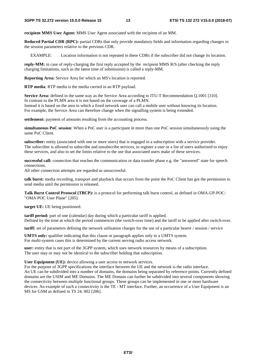**recipient MMS User Agent:** MMS User Agent associated with the recipient of an MM.

**Reduced Partial CDR (RPC):** partial CDRs that only provide mandatory fields and information regarding changes in the session parameters relative to the previous CDR.

EXAMPLE: Location information is not repeated in these CDRs if the subscriber did not change its location.

**reply-MM:** in case of reply-charging the first reply accepted by the recipient MMS R/S (after checking the reply charging limitations, such as the latest time of submission) is called a reply-MM.

**Reporting Area:** Service Area for which an MS's location is reported.

**RTP media**: RTP media is the media carried in an RTP payload.

**Service Area:** defined in the same way as the Service Area according to ITU-T Recommendation Q.1001 [310]. In contrast to the PLMN area it is not based on the coverage of a PLMN. Instead it is based on the area in which a fixed network user can call a mobile user without knowing its location. For example, the Service Area can therefore change when the signalling system is being extended.

**settlement:** payment of amounts resulting from the accounting process.

**simultaneous PoC session**: When a PoC user is a participant in more than one PoC session simultaneously using the same PoC Client.

**subscriber:** entity (associated with one or more users) that is engaged in a subscription with a service provider. The subscriber is allowed to subscribe and unsubscribe services, to register a user or a list of users authorized to enjoy these services, and also to set the limits relative to the use that associated users make of these services.

**successful call:** connection that reaches the communication or data transfer phase e.g. the "answered" state for speech connections.

All other connection attempts are regarded as unsuccessful.

**talk burst:** media recording, transport and playback that occurs from the point the PoC Client has got the permission to send media until the permission is released.

**Talk Burst Control Protocol (TBCP):** is a protocol for performing talk burst control, as defined in OMA-UP-POC: "OMA POC User Plane" [205].

**target UE:** UE being positioned.

**tariff period:** part of one (calendar) day during which a particular tariff is applied. Defined by the time at which the period commences (the switch-over time) and the tariff to be applied after switch-over.

**tariff:** set of parameters defining the network utilisation charges for the use of a particular bearer / session / service

**UMTS only:** qualifier indicating that this clause or paragraph applies only to a UMTS system. For multi-system cases this is determined by the current serving radio access network.

**user:** entity that is not part of the 3GPP system, which uses network resources by means of a subscription. The user may or may not be identical to the subscriber holding that subscription.

**User Equipment (UE):** device allowing a user access to network services.

For the purpose of 3GPP specifications the interface between the UE and the network is the radio interface. An UE can be subdivided into a number of domains, the domains being separated by reference points. Currently defined domains are the USIM and ME Domains. The ME Domain can further be subdivided into several components showing the connectivity between multiple functional groups. These groups can be implemented in one or more hardware devices. An example of such a connectivity is the TE - MT interface. Further, an occurrence of a User Equipment is an MS for GSM as defined in TS 24. 002 [206].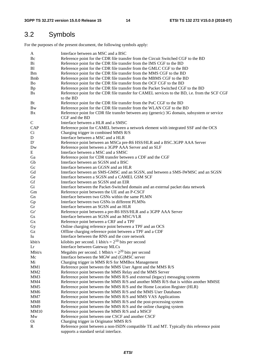# 3.2 Symbols

For the purposes of the present document, the following symbols apply:

| A               | Interface between an MSC and a BSC                                                            |
|-----------------|-----------------------------------------------------------------------------------------------|
| Bc              | Reference point for the CDR file transfer from the Circuit Switched CGF to the BD             |
| Bi              | Reference point for the CDR file transfer from the IMS CGF to the BD                          |
| B <sub>1</sub>  | Reference point for the CDR file transfer from the GMLC CGF to the BD                         |
| <b>Bm</b>       | Reference point for the CDR file transfer from the MMS CGF to the BD                          |
| <b>B</b> mb     | Reference point for the CDR file transfer from the MBMS CGF to the BD                         |
| Bo              | Reference point for the CDR file transfer from the OCF CGF to the BD                          |
| <b>Bp</b>       | Reference point for the CDR file transfer from the Packet Switched CGF to the BD              |
| <b>Bs</b>       | Reference point for the CDR file transfer for CAMEL services to the BD, i.e. from the SCF CGF |
|                 | to the BD                                                                                     |
| Bt              | Reference point for the CDR file transfer from the PoC CGF to the BD                          |
| <b>Bw</b>       | Reference point for the CDR file transfer from the WLAN CGF to the BD                         |
|                 |                                                                                               |
| Bx              | Reference point for CDR file transfer between any (generic) 3G domain, subsystem or service   |
|                 | CGF and the BD                                                                                |
| $\mathbf C$     | Interface between a HLR and a SMSC                                                            |
| CAP             | Reference point for CAMEL between a network element with integrated SSF and the OCS           |
| Ci              | Charging trigger in combined MMS R/S                                                          |
| D               | Interface between a MSC and a HLR                                                             |
| D'              | Reference point between an MSCa pre-R6 HSS/HLR and a BSC.3GPP AAA Server                      |
| Dw              | Reference point between a 3GPP AAA Server and an SLF                                          |
| Ε               | Interface between a MSC and a SMSC                                                            |
| Ga              | Reference point for CDR transfer between a CDF and the CGF                                    |
| Gb              | Interface between an SGSN and a BSC                                                           |
| Gc              | Interface between an GGSN and an HLR                                                          |
| Gd              | Interface between an SMS-GMSC and an SGSN, and between a SMS-IWMSC and an SGSN                |
| Ge              | Interface between a SGSN and a CAMEL GSM SCF                                                  |
| Gf              | Interface between an SGSN and an EIR                                                          |
| Gi              | Interface between the Packet-Switched domain and an external packet data network              |
| Gm              | Reference point between the UE and an P-CSCF                                                  |
| Gn              | Interface between two GSNs within the same PLMN                                               |
|                 |                                                                                               |
| Gp              | Interface between two GSNs in different PLMNs                                                 |
| Gr              | Interface between an SGSN and an HLR                                                          |
| Gr'             | Reference point between a pre-R6 HSS/HLR and a 3GPP AAA Server                                |
| Gs              | Interface between an SGSN and an MSC/VLR                                                      |
| Gx              | Reference point between a CRF and a TPF                                                       |
| Gy              | Online charging reference point between a TPF and an OCS                                      |
| Gz              | Offline charging reference point between a TPF and a CDF                                      |
| Iu              | Interface between the RNS and the core network                                                |
| kbit/s          | kilobits per second. 1 kbit/s = $2^{10}$ bits per second                                      |
| Lr              | Interface between Gateway MLCs                                                                |
| Mbit/s          | Megabits per second. 1 Mbit/s = $2^{20}$ bits per second                                      |
| Mc              | Interface between the MGW and (G)MSC server                                                   |
| Mi              | Charging trigger in MMS R/S for MMBox Management                                              |
| MM1             | Reference point between the MMS User Agent and the MMS R/S                                    |
| MM <sub>2</sub> | Reference point between the MMS Relay and the MMS Server                                      |
| MM3             | Reference point between the MMS R/S and external (legacy) messaging systems                   |
| MM4             | Reference point between the MMS R/S and another MMS R/S that is within another MMSE           |
|                 |                                                                                               |
| MM5             | Reference point between the MMS R/S and the Home Location Register (HLR)                      |
| MM6             | Reference point between the MMS R/S and the MMS User Databases                                |
| MM7             | Reference point between the MMS R/S and MMS VAS Applications                                  |
| MM8             | Reference point between the MMS R/S and the post-processing system                            |
| MM9             | Reference point between the MMS R/S and the online charging system                            |
| MM10            | Reference point between the MMS R/S and a MSCF                                                |
| Mw              | Reference point between one CSCF and another CSCF                                             |
| <b>Oi</b>       | Charging trigger in Originator MMS R/S                                                        |
| R               | Reference point between a non-ISDN compatible TE and MT. Typically this reference point       |
|                 | supports a standard serial interface.                                                         |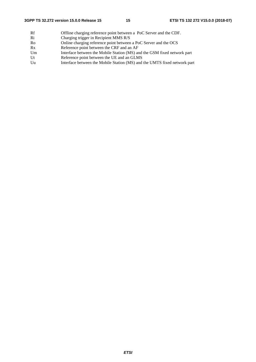Rf Offline charging reference point between a PoC Server and the CDF.<br>
Ri Charging trigger in Recipient MMS R/S Ri Charging trigger in Recipient MMS R/S<br>Ro Online charging reference point between Online charging reference point between a PoC Server and the OCS Rx Reference point between the CRF and an AF Um Interface between the Mobile Station (MS) and the GSM fixed network part<br>Ut Reference point between the UE and an GLMS Reference point between the UE and an GLMS Uu Interface between the Mobile Station (MS) and the UMTS fixed network part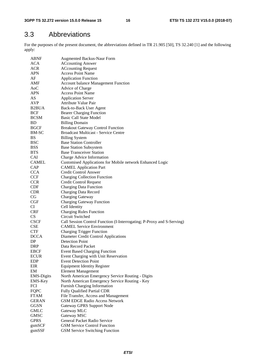# 3.3 Abbreviations

For the purposes of the present document, the abbreviations defined in TR 21.905 [50], TS 32.240 [1] and the following apply:

| <b>ABNF</b>        | <b>Augmented Backus-Naur Form</b>                                      |
|--------------------|------------------------------------------------------------------------|
| ACA                | <b>ACcounting Answer</b>                                               |
| ACR                | <b>ACcounting Request</b>                                              |
| APN                | <b>Access Point Name</b>                                               |
| AF                 | <b>Application Function</b>                                            |
| AMF                | <b>Account balance Management Function</b>                             |
| A <sub>0</sub> C   | Advice of Charge                                                       |
| <b>APN</b>         | <b>Access Point Name</b>                                               |
| AS                 | <b>Application Server</b>                                              |
| <b>AVP</b>         | <b>Attribute Value Pair</b>                                            |
| B <sub>2</sub> BUA | <b>Back-to-Back User Agent</b>                                         |
| <b>BCF</b>         | <b>Bearer Charging Function</b>                                        |
| <b>BCSM</b>        | <b>Basic Call State Model</b>                                          |
| <b>BD</b>          | <b>Billing Domain</b>                                                  |
| <b>BGCF</b>        | <b>Breakout Gateway Control Function</b>                               |
| BM-SC              | <b>Broadcast Multicast - Service Centre</b>                            |
| <b>BS</b>          | <b>Billing System</b>                                                  |
| <b>BSC</b>         | <b>Base Station Controller</b>                                         |
| <b>BSS</b>         | <b>Base Station Subsystem</b>                                          |
| <b>BTS</b>         | <b>Base Transceiver Station</b>                                        |
| <b>CAI</b>         | Charge Advice Information                                              |
| <b>CAMEL</b>       | Customised Applications for Mobile network Enhanced Logic              |
| CAP                | <b>CAMEL Application Part</b>                                          |
| <b>CCA</b>         | <b>Credit Control Answer</b>                                           |
| <b>CCF</b>         | <b>Charging Collection Function</b>                                    |
| <b>CCR</b>         | <b>Credit Control Request</b>                                          |
| <b>CDF</b>         | <b>Charging Data Function</b>                                          |
| <b>CDR</b>         | Charging Data Record                                                   |
| CG                 | <b>Charging Gateway</b>                                                |
| CGF                | <b>Charging Gateway Function</b>                                       |
| CI                 | Cell Identity                                                          |
| <b>CRF</b>         | <b>Charging Rules Function</b>                                         |
| <b>CS</b>          | Circuit Switched                                                       |
| <b>CSCF</b>        | Call Session Control Function (I-Interrogating; P-Proxy and S-Serving) |
| <b>CSE</b>         | <b>CAMEL Service Environment</b>                                       |
| <b>CTF</b>         | <b>Charging Trigger Function</b>                                       |
| <b>DCCA</b>        | Diameter Credit Control Applications                                   |
| DP                 | <b>Detection Point</b>                                                 |
| <b>DRP</b>         | Data Record Packet                                                     |
| <b>EBCF</b>        | <b>Event Based Charging Function</b>                                   |
| <b>ECUR</b>        | Event Charging with Unit Reservation                                   |
| <b>EDP</b>         | <b>Event Detection Point</b>                                           |
| EIR                | <b>Equipment Identity Register</b>                                     |
| EM                 |                                                                        |
|                    | <b>Element Management</b>                                              |
| <b>EMS-Digits</b>  | North American Emergency Service Routing - Digits                      |
| EMS-Key            | North American Emergency Service Routing - Key                         |
| FCI                | Furnish Charging Information                                           |
| <b>FQPC</b>        | Fully Qualified Partial CDR                                            |
| <b>FTAM</b>        | File Transfer, Access and Management                                   |
| GERAN              | <b>GSM EDGE Radio Access Network</b>                                   |
| <b>GGSN</b>        | Gateway GPRS Support Node                                              |
| <b>GMLC</b>        | Gateway MLC                                                            |
| GMSC               | Gateway MSC                                                            |
| <b>GPRS</b>        | General Packet Radio Service                                           |
| gsmSCF             | <b>GSM Service Control Function</b>                                    |
| gsmSSF             | <b>GSM Service Switching Function</b>                                  |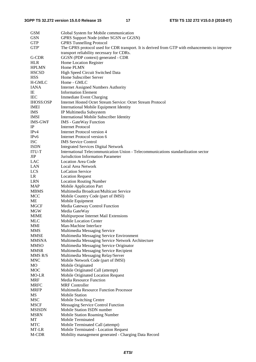| <b>GSM</b>       | Global System for Mobile communication                                                        |
|------------------|-----------------------------------------------------------------------------------------------|
| <b>GSN</b>       | GPRS Support Node (either SGSN or GGSN)                                                       |
| <b>GTP</b>       | <b>GPRS</b> Tunnelling Protocol                                                               |
| ${\rm GTP'}$     | The GPRS protocol used for CDR transport. It is derived from GTP with enhancements to improve |
|                  | transport reliability necessary for CDRs.                                                     |
| G-CDR            | GGSN (PDP context) generated - CDR                                                            |
| <b>HLR</b>       | Home Location Register                                                                        |
| <b>HPLMN</b>     | Home PLMN                                                                                     |
| <b>HSCSD</b>     | High Speed Circuit Switched Data                                                              |
| <b>HSS</b>       | Home Subscriber Server                                                                        |
| H-GMLC           | Home - GMLC                                                                                   |
| <b>IANA</b>      | <b>Internet Assigned Numbers Authority</b>                                                    |
| IE               | Information Element                                                                           |
| <b>IEC</b>       | <b>Immediate Event Charging</b>                                                               |
| <b>IHOSS:OSP</b> | Internet Hosted Octet Stream Service: Octet Stream Protocol                                   |
| <b>IMEI</b>      | International Mobile Equipment Identity                                                       |
| <b>IMS</b>       | IP Multimedia Subsystem                                                                       |
| <b>IMSI</b>      | International Mobile Subscriber Identity                                                      |
| <b>IMS-GWF</b>   | <b>IMS</b> - GateWay Function                                                                 |
| IP               | <b>Internet Protocol</b>                                                                      |
| IPv4             | Internet Protocol version 4                                                                   |
| IPv6             | Internet Protocol version 6                                                                   |
| <b>ISC</b>       | <b>IMS</b> Service Control                                                                    |
| <b>ISDN</b>      | <b>Integrated Services Digital Network</b>                                                    |
| <b>ITU-T</b>     | International Telecommunication Union - Telecommunications standardization sector             |
| <b>JIP</b>       | Jurisdiction Information Parameter                                                            |
| LAC              | <b>Location Area Code</b>                                                                     |
| <b>LAN</b>       |                                                                                               |
|                  | Local Area Network                                                                            |
| <b>LCS</b>       | <b>LoCation Service</b>                                                                       |
| LR               | <b>Location Request</b>                                                                       |
| <b>LRN</b>       | <b>Location Routing Number</b>                                                                |
| <b>MAP</b>       | <b>Mobile Application Part</b>                                                                |
| <b>MBMS</b>      | Multimedia Broadcast/Multicast Service                                                        |
| <b>MCC</b>       | Mobile Country Code (part of IMSI)                                                            |
| ME               | Mobile Equipment                                                                              |
| <b>MGCF</b>      | Media Gateway Control Function                                                                |
| <b>MGW</b>       | Media GateWay                                                                                 |
| <b>MIME</b>      | Multipurpose Internet Mail Extensions                                                         |
| <b>MLC</b>       | <b>Mobile Location Center</b>                                                                 |
| MMI              | Man-Machine Interface                                                                         |
| <b>MMS</b>       | Multimedia Messaging Service                                                                  |
| <b>MMSE</b>      | Multimedia Messaging Service Environment                                                      |
| <b>MMSNA</b>     | Multimedia Messaging Service Network Architecture                                             |
| <b>MMSO</b>      | Multimedia Messaging Service Originator                                                       |
| <b>MMSR</b>      | Multimedia Messaging Service Recipient                                                        |
| MMS R/S          | Multimedia Messaging Relay/Server                                                             |
| <b>MNC</b>       | Mobile Network Code (part of IMSI)                                                            |
| MO               | Mobile Originated                                                                             |
| <b>MOC</b>       | Mobile Originated Call (attempt)                                                              |
| MO-LR            | Mobile Originated Location Request                                                            |
| <b>MRF</b>       | Media Resource Function                                                                       |
| <b>MRFC</b>      | <b>MRF</b> Controller                                                                         |
| <b>MRFP</b>      | Multimedia Resource Function Processor                                                        |
| MS               | <b>Mobile Station</b>                                                                         |
| <b>MSC</b>       | Mobile Switching Centre                                                                       |
| <b>MSCF</b>      | Messaging Service Control Function                                                            |
| <b>MSISDN</b>    | Mobile Station ISDN number                                                                    |
| <b>MSRN</b>      | Mobile Station Roaming Number                                                                 |
| MT               | Mobile Terminated                                                                             |
| <b>MTC</b>       | Mobile Terminated Call (attempt)                                                              |
| MT-LR            | Mobile Terminated - Location Request                                                          |
| M-CDR            | Mobility management generated - Charging Data Record                                          |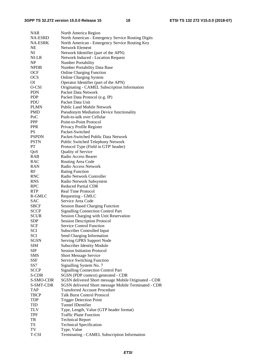| <b>NAR</b>     | North America Region                                  |
|----------------|-------------------------------------------------------|
| <b>NA-ESRD</b> | North American - Emergency Service Routing Digits     |
| NA-ESRK        | North American - Emergency Service Routing Key        |
| NE             | Network Element                                       |
| NI             | Network Identifier (part of the APN)                  |
| NI-LR          | <b>Network Induced - Location Request</b>             |
| NP             | Number Portability                                    |
| <b>NPDB</b>    | Number Portability Data Base                          |
| <b>OCF</b>     | <b>Online Charging Function</b>                       |
| <b>OCS</b>     | <b>Online Charging System</b>                         |
| ΟI             |                                                       |
|                | Operator Identifier (part of the APN)                 |
| O-CSI          | Originating - CAMEL Subscription Information          |
| <b>PDN</b>     | Packet Data Network                                   |
| <b>PDP</b>     | Packet Data Protocol (e.g. IP)                        |
| <b>PDU</b>     | Packet Data Unit                                      |
| <b>PLMN</b>    | <b>Public Land Mobile Network</b>                     |
| PMD            | <b>Pseudonym Mediation Device functionality</b>       |
| PoC            | Push-to-talk over Cellular                            |
| <b>PPP</b>     | Point-to-Point Protocol                               |
| <b>PPR</b>     | Privacy Profile Register                              |
| PS             | Packet-Switched                                       |
| <b>PSPDN</b>   | Packet-Switched Public Data Network                   |
| <b>PSTN</b>    | Public Switched Telephony Network                     |
| PT             | Protocol Type (Field in GTP' header)                  |
| QoS            | Quality of Service                                    |
| <b>RAB</b>     | Radio Access Bearer                                   |
| <b>RAC</b>     | Routing Area Code                                     |
| <b>RAN</b>     | Radio Access Network                                  |
| RF             | <b>Rating Function</b>                                |
| <b>RNC</b>     | Radio Network Controller                              |
| <b>RNS</b>     |                                                       |
|                | Radio Network Subsystem<br><b>Reduced Partial CDR</b> |
| <b>RPC</b>     |                                                       |
| <b>RTP</b>     | <b>Real Time Protocol</b>                             |
| R-GMLC         | Requesting - GMLC                                     |
| <b>SAC</b>     | Service Area Code                                     |
| <b>SBCF</b>    | <b>Session Based Charging Function</b>                |
| <b>SCCP</b>    | <b>Signalling Connection Control Part</b>             |
| <b>SCUR</b>    | Session Charging with Unit Reservation                |
| <b>SDP</b>     | <b>Session Description Protocol</b>                   |
| <b>SCF</b>     | <b>Service Control Function</b>                       |
| <b>SCI</b>     | Subscriber Controlled Input                           |
| SCI            | Send Charging Information                             |
| SGSN           | Serving GPRS Support Node                             |
| SIM            | <b>Subscriber Identity Module</b>                     |
| <b>SIP</b>     | <b>Session Initiation Protocol</b>                    |
| <b>SMS</b>     | <b>Short Message Service</b>                          |
| SSF            | Service Switching Function                            |
| SS7            | Signalling System No. 7                               |
| <b>SCCP</b>    | <b>Signalling Connection Control Part</b>             |
| S-CDR          | SGSN (PDP context) generated - CDR                    |
| S-SMO-CDR      | SGSN delivered Short message Mobile Originated - CDR  |
| S-SMT-CDR      | SGSN delivered Short message Mobile Terminated - CDR  |
| <b>TAP</b>     | <b>Transferred Account Procedure</b>                  |
| TBCP           | <b>Talk Burst Control Protocol</b>                    |
| <b>TDP</b>     | <b>Trigger Detection Point</b>                        |
| TID            | <b>Tunnel IDentifier</b>                              |
| TLV            | Type, Length, Value (GTP header format)               |
| TPF            | <b>Traffic Plane Function</b>                         |
|                |                                                       |
| TR             | <b>Technical Report</b>                               |
| <b>TS</b>      | <b>Technical Specification</b>                        |
| TV             | Type, Value                                           |
| T-CSI          | Terminating - CAMEL Subscription Information          |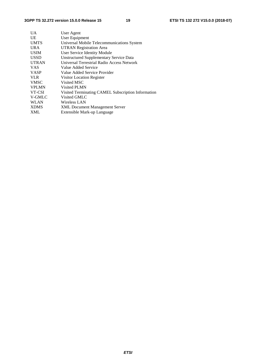| <b>UA</b>    | User Agent                                         |
|--------------|----------------------------------------------------|
| UE           | User Equipment                                     |
| <b>UMTS</b>  | Universal Mobile Telecommunications System         |
| <b>URA</b>   | <b>UTRAN Registration Area</b>                     |
| <b>USIM</b>  | User Service Identity Module                       |
| <b>USSD</b>  | <b>Unstructured Supplementary Service Data</b>     |
| <b>UTRAN</b> | Universal Terrestrial Radio Access Network         |
| <b>VAS</b>   | Value Added Service                                |
| <b>VASP</b>  | Value Added Service Provider                       |
| <b>VLR</b>   | Visitor Location Register                          |
| <b>VMSC</b>  | Visited MSC                                        |
| <b>VPLMN</b> | Visited PLMN                                       |
| VT-CSI       | Visited Terminating CAMEL Subscription Information |
| V-GMLC       | Visited GMLC                                       |
| <b>WLAN</b>  | Wireless LAN                                       |
| <b>XDMS</b>  | <b>XML Document Management Server</b>              |
| <b>XML</b>   | Extensible Mark-up Language                        |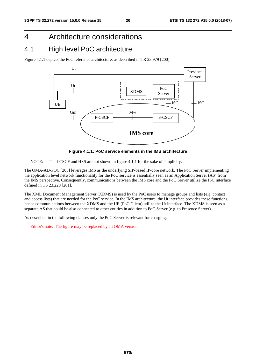# 4 Architecture considerations

# 4.1 High level PoC architecture

Figure 4.1.1 depicts the PoC reference architecture, as described in TR 23.979 [200].



**Figure 4.1.1: PoC service elements in the IMS architecture** 

NOTE: The I-CSCF and HSS are not shown in figure 4.1.1 for the sake of simplicity.

The OMA-AD-POC [203] leverages IMS as the underlying SIP-based IP-core network. The PoC Server implementing the application level network functionality for the PoC service is essentially seen as an Application Server (AS) from the IMS perspective. Consequently, communications between the IMS core and the PoC Server utilize the ISC interface defined in TS 23.228 [201].

The XML Document Management Server (XDMS) is used by the PoC users to manage groups and lists (e.g. contact and access lists) that are needed for the PoC service. In the IMS architecture, the Ut interface provides these functions, hence communications between the XDMS and the UE (PoC Client) utilize the Ut interface. The XDMS is seen as a separate AS that could be also connected to other entities in addition to PoC Server (e.g. to Presence Server).

As described in the following clauses only the PoC Server is relevant for charging.

Editor's note: The figure may be replaced by an OMA version.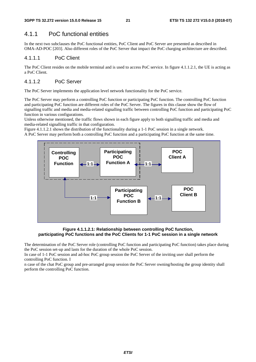### 4.1.1 PoC functional entities

In the next two subclauses the PoC functional entities, PoC Client and PoC Server are presented as described in OMA-AD-POC [203]. Also different roles of the PoC Server that impact the PoC charging architecture are described.

#### 4.1.1.1 PoC Client

The PoC Client resides on the mobile terminal and is used to access PoC service. In figure 4.1.1.2.1, the UE is acting as a PoC Client.

#### 4.1.1.2 PoC Server

The PoC Server implements the application level network functionality for the PoC service.

The PoC Server may perform a controlling PoC function or participating PoC function. The controlling PoC function and participating PoC function are different roles of the PoC Server. The figures in this clause show the flow of signalling traffic and media and media-related signalling traffic between controlling PoC function and participating PoC function in various configurations.

Unless otherwise mentioned, the traffic flows shown in each figure apply to both signalling traffic and media and media-related signalling traffic in that configuration.

Figure 4.1.1.2.1 shows the distribution of the functionality during a 1-1 PoC session in a single network. A PoC Server may perform both a controlling PoC function and a participating PoC function at the same time.



**Figure 4.1.1.2.1: Relationship between controlling PoC function, participating PoC functions and the PoC Clients for 1-1 PoC session in a single network** 

The determination of the PoC Server role (controlling PoC function and participating PoC function) takes place during the PoC session set-up and lasts for the duration of the whole PoC session.

In case of 1-1 PoC session and ad-hoc PoC group session the PoC Server of the inviting user shall perform the controlling PoC function. I

n case of the chat PoC group and pre-arranged group session the PoC Server owning/hosting the group identity shall perform the controlling PoC function.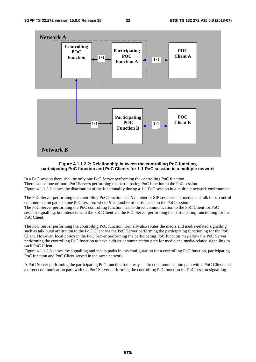

**Figure 4.1.1.2.2: Relationship between the controlling PoC function, participating PoC function and PoC Clients for 1-1 PoC session in a multiple network** 

In a PoC session there shall be only one PoC Server performing the controlling PoC function. There can be one or more PoC Servers performing the participating PoC function in the PoC session. Figure 4.1.1.2.2 shows the distribution of the functionality during a 1-1 PoC session in a multiple network environment.

The PoC Server performing the controlling PoC function has *N* number of SIP sessions and media and talk burst control communication paths in one PoC session, where *N* is number of participants in the PoC session. The PoC Server performing the PoC controlling function has no direct communication to the PoC Client for PoC session signalling, but interacts with the PoC Client via the PoC Server performing the participating functioning for the PoC Client.

The PoC Server performing the controlling PoC function normally also routes the media and media-related signalling such as talk burst arbitration to the PoC Client via the PoC Server performing the participating functioning for the PoC Client. However, local policy in the PoC Server performing the participating PoC function may allow the PoC Server performing the controlling PoC function to have a direct communication path for media and media-related signalling to each PoC Client.

Figure 4.1.1.2.3 shows the signalling and media paths in this configuration for a controlling PoC function, participating PoC function and PoC Client served in the same network.

A PoC Server performing the participating PoC function has always a direct communication path with a PoC Client and a direct communication path with the PoC Server performing the controlling PoC function for PoC session signalling.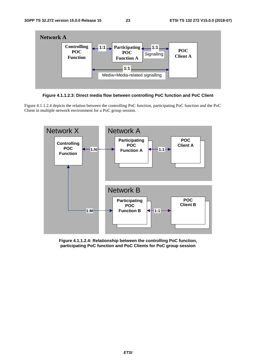



Figure 4.1.1.2.4 depicts the relation between the controlling PoC function, participating PoC function and the PoC Client in multiple network environment for a PoC group session.



**Figure 4.1.1.2.4: Relationship between the controlling PoC function, participating PoC function and PoC Clients for PoC group session**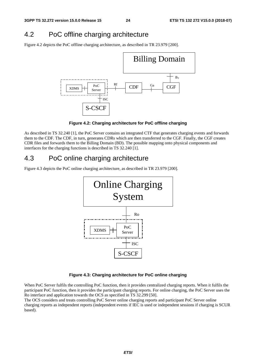# 4.2 PoC offline charging architecture

Figure 4.2 depicts the PoC offline charging architecture, as described in TR 23.979 [200].



**Figure 4.2: Charging architecture for PoC offline charging** 

As described in TS 32.240 [1], the PoC Server contains an integrated CTF that generates charging events and forwards them to the CDF. The CDF, in turn, generates CDRs which are then transferred to the CGF. Finally, the CGF creates CDR files and forwards them to the Billing Domain (BD). The possible mapping onto physical components and interfaces for the charging functions is described in TS 32.240 [1].

# 4.3 PoC online charging architecture

Figure 4.3 depicts the PoC online charging architecture, as described in TR 23.979 [200].



#### **Figure 4.3: Charging architecture for PoC online charging**

When PoC Server fulfils the controlling PoC function, then it provides centralized charging reports. When it fulfils the participant PoC function, then it provides the participant charging reports. For online charging, the PoC Server uses the Ro interface and application towards the OCS as specified in TS 32.299 [50].

The OCS considers and treats controlling PoC Server online charging reports and participant PoC Server online charging reports as independent reports (independent events if IEC is used or independent sessions if charging is SCUR based).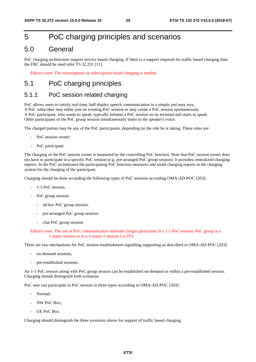# 5 PoC charging principles and scenarios

### 5.0 General

PoC charging architecture support service based charging. If there is a support required for traffic based charging than the FBC should be used refer TS 32.251 [11].

Editor's note: The investigation on subscription based charging is needed.

# 5.1 PoC charging principles

### 5.1.1 PoC session related charging

PoC allows users to satisfy real time, half-duplex speech communication in a simple and easy way. A PoC subscriber may either join an existing PoC session or may create a PoC session spontaneously. A PoC participant, who wants to speak, typically initiates a PoC session on its terminal and starts to speak. Other participants of the PoC group session simultaneously listen to the speaker's voice.

The charged parties may be any of the PoC participants, depending on the role he is taking. These roles are:

- PoC session owner:
- PoC participant.

The charging of the PoC session owner is measured by the controlling PoC function. Note that PoC session owner does not have to participate in a specific PoC session (e.g. pre-arranged PoC group session). It provides centralized charging reports. In the PoC architecture the participating PoC function measures and sends charging reports to the charging system for the charging of the participant.

Charging should be done according the following types of PoC sessions according OMA-AD-POC [203]:

- 1-1 PoC session:
- PoC group session:
	- ad-hoc PoC group session;
	- pre-arranged PoC group session;
	- chat PoC group session.

#### Editor's note: The use of PoC communication methods (single participant in a 1-1 PoC session, PoC group in a 1-many session or in a 1-many-1 session.) is FFS.

There are two mechanisms for PoC session establishment signalling supporting as described in OMA-AD-POC [203]:

- on-demand sessions,
- pre-established sessions.

An 1-1 PoC session along with PoC group session can be established on-demand or within a pre-established session. Charging should distinguish both scenarios.

PoC user can participate in PoC session in three types according to OMA-AD-POC [203]:

- Normal;
- NW PoC Box;
- UE PoC Box.

Charging should distinguish the three scenarios above for support of traffic based charging.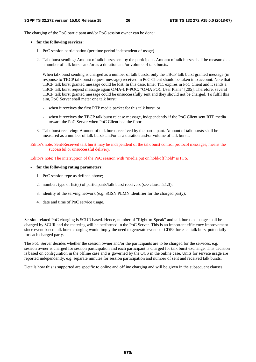The charging of the PoC participant and/or PoC session owner can be done:

#### • **for the following services:**

- 1. PoC session participation (per time period independent of usage).
- 2. Talk burst sending: Amount of talk bursts sent by the participant. Amount of talk bursts shall be measured as a number of talk bursts and/or as a duration and/or volume of talk bursts.

When talk burst sending is charged as a number of talk bursts, only the TBCP talk burst granted message (in response to TBCP talk burst request message) received in PoC Client should be taken into account. Note that TBCP talk burst granted message could be lost. In this case, timer T11 expires in PoC Client and it sends a TBCP talk burst request message again OMA-UP-POC: "OMA POC User Plane" [205]. Therefore, several TBCP talk burst granted message could be unsuccessfully sent and they should not be charged. To fulfil this aim, PoC Server shall meter one talk burst:

- when it receives the first RTP media packet for this talk burst, or
- when it receives the TBCP talk burst release message, independently if the PoC Client sent RTP media toward the PoC Server when PoC Client had the floor.
- 3. Talk burst receiving: Amount of talk bursts received by the participant. Amount of talk bursts shall be measured as a number of talk bursts and/or as a duration and/or volume of talk bursts.

Editor's note: Sent/Received talk burst may be independent of the talk burst control protocol messages, means the successful or unsuccessful delivery.

Editor's note: The interruption of the PoC session with "media put on hold/off hold" is FFS.

#### **- for the following rating parameters:**

- 1. PoC session type as defined above;
- 2. number, type or list(s) of participants/talk burst receivers (see clause 5.1.3);
- 3. identity of the serving network (e.g. SGSN PLMN identifier for the charged party);
- 4. date and time of PoC service usage.

Session related PoC charging is SCUR based. Hence, number of "Right-to-Speak" and talk burst exchange shall be charged by SCUR and the metering will be performed in the PoC Server. This is an important efficiency improvement since event based talk burst charging would imply the need to generate events or CDRs for each talk burst potentially for each charged party.

The PoC Server decides whether the session owner and/or the participants are to be charged for the services, e.g. session owner is charged for session participation and each participant is charged for talk burst exchange. This decision is based on configuration in the offline case and is governed by the OCS in the online case. Units for service usage are reported independently, e.g. separate minutes for session participation and number of sent and received talk bursts.

Details how this is supported are specific to online and offline charging and will be given in the subsequent clauses.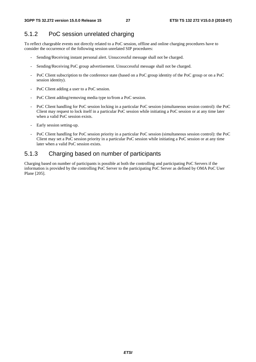### 5.1.2 PoC session unrelated charging

To reflect chargeable events not directly related to a PoC session, offline and online charging procedures have to consider the occurrence of the following session unrelated SIP procedures:

- Sending/Receiving instant personal alert. Unsuccessful message shall not be charged.
- Sending/Receiving PoC group advertisement. Unsuccessful message shall not be charged.
- PoC Client subscription to the conference state (based on a PoC group identity of the PoC group or on a PoC session identity).
- PoC Client adding a user to a PoC session.
- PoC Client adding/removing media type to/from a PoC session.
- PoC Client handling for PoC session locking in a particular PoC session (simultaneous session control): the PoC Client may request to lock itself in a particular PoC session while initiating a PoC session or at any time later when a valid PoC session exists.
- Early session setting-up.
- PoC Client handling for PoC session priority in a particular PoC session (simultaneous session control): the PoC Client may set a PoC session priority in a particular PoC session while initiating a PoC session or at any time later when a valid PoC session exists.

### 5.1.3 Charging based on number of participants

Charging based on number of participants is possible at both the controlling and participating PoC Servers if the information is provided by the controlling PoC Server to the participating PoC Server as defined by OMA PoC User Plane [205].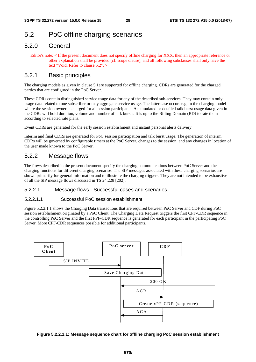# 5.2 PoC offline charging scenarios

### 5.2.0 General

Editor's note: < If the present document does not specify offline charging for XXX, then an appropriate reference or other explanation shall be provided (cf. scope clause), and all following subclauses shall only have the text "Void. Refer to clause 5.2". >

### 5.2.1 Basic principles

The charging models as given in clause 5.1are supported for offline charging. CDRs are generated for the charged parties that are configured in the PoC Server.

These CDRs contain distinguished service usage data for any of the described sub-services. They may contain only usage data related to one subscriber or may aggregate service usage. The latter case occurs e.g. in the charging model where the session owner is charged for all session participants. Accumulated or detailed talk burst usage data given in the CDRs will hold duration, volume and number of talk bursts. It is up to the Billing Domain (BD) to rate them according to selected rate plans.

Event CDRs are generated for the early session establishment and instant personal alerts delivery.

Interim and final CDRs are generated for PoC session participation and talk burst usage. The generation of interim CDRs will be governed by configurable timers at the PoC Server, changes to the session, and any changes in location of the user made known to the PoC Server.

### 5.2.2 Message flows

The flows described in the present document specify the charging communications between PoC Server and the charging functions for different charging scenarios. The SIP messages associated with these charging scenarios are shown primarily for general information and to illustrate the charging triggers. They are not intended to be exhaustive of all the SIP message flows discussed in TS 24.228 [202].

#### 5.2.2.1 Message flows - Successful cases and scenarios

#### 5.2.2.1.1 Successful PoC session establishment

Figure 5.2.2.1.1 shows the Charging Data transactions that are required between PoC Server and CDF during PoC session establishment originated by a PoC Client. The Charging Data Request triggers the first CPF-CDR sequence in the controlling PoC Server and the first PPF-CDR sequence is generated for each participant in the participating PoC Server. More CPF-CDR sequences possible for additional participants.



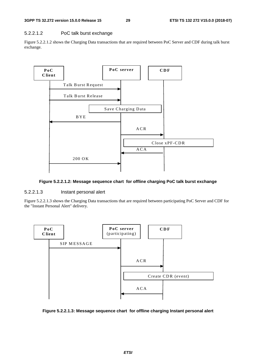#### 5.2.2.1.2 PoC talk burst exchange

Figure 5.2.2.1.2 shows the Charging Data transactions that are required between PoC Server and CDF during talk burst exchange.



#### **Figure 5.2.2.1.2: Message sequence chart for offline charging PoC talk burst exchange**

#### 5.2.2.1.3 Instant personal alert

Figure 5.2.2.1.3 shows the Charging Data transactions that are required between participating PoC Server and CDF for the "Instant Personal Alert" delivery.



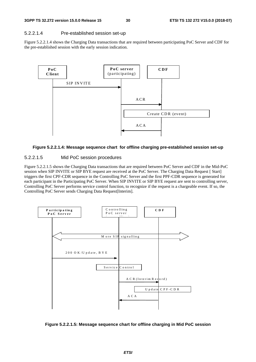#### 5.2.2.1.4 Pre-established session set-up

Figure 5.2.2.1.4 shows the Charging Data transactions that are required between participating PoC Server and CDF for the pre-established session with the early session indication.



#### **Figure 5.2.2.1.4: Message sequence chart for offline charging pre-established session set-up**

#### 5.2.2.1.5 Mid PoC session procedures

Figure 5.2.2.1.5 shows the Charging Data transactions that are required between PoC Server and CDF in the Mid-PoC session when SIP INVITE or SIP BYE request are received at the PoC Server. The Charging Data Request [ Start] triggers the first CPF-CDR sequence in the Controlling PoC Server and the first PPF-CDR sequence is generated for each participant in the Participating PoC Server. When SIP INVITE or SIP BYE request are sent to controlling server, Controlling PoC Server performs service control function, to recognize if the request is a chargeable event. If so, the Controlling PoC Server sends Charging Data Request[Interim].



**Figure 5.2.2.1.5: Message sequence chart for offline charging in Mid PoC session**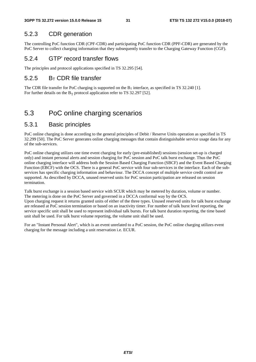### 5.2.3 CDR generation

The controlling PoC function CDR (CPF-CDR) and participating PoC function CDR (PPF-CDR) are generated by the PoC Server to collect charging information that they subsequently transfer to the Charging Gateway Function (CGF).

### 5.2.4 GTP' record transfer flows

The principles and protocol applications specified in TS 32.295 [54].

### $5.2.5$  B<sub>T</sub> CDR file transfer

The CDR file transfer for PoC charging is supported on the  $B_T$  interface, as specified in TS 32.240 [1]. For further details on the  $B_T$  protocol application refer to TS 32.297 [52].

# 5.3 PoC online charging scenarios

### 5.3.1 Basic principles

PoC online charging is done according to the general principles of Debit / Reserve Units operation as specified in TS 32.299 [50]. The PoC Server generates online charging messages that contain distinguishable service usage data for any of the sub-services.

PoC online charging utilizes one time event charging for early (pre-established) sessions (session set-up is charged only) and instant personal alerts and session charging for PoC session and PoC talk burst exchange. Thus the PoC online charging interface will address both the Session Based Charging Function (SBCF) and the Event Based Charging Function (EBCF) with the OCS. There is a general PoC service with four sub-services in the interface. Each of the subservices has specific charging information and behaviour. The DCCA concept of multiple service credit control are supported. As described by DCCA, unused reserved units for PoC session participation are released on session termination.

Talk burst exchange is a session based service with SCUR which may be metered by duration, volume or number. The metering is done on the PoC Server and governed in a DCCA conformal way by the OCS. Upon charging request it returns granted units of either of the three types. Unused reserved units for talk burst exchange are released at PoC session termination or based on an inactivity timer. For number of talk burst level reporting, the service specific unit shall be used to represent individual talk bursts. For talk burst duration reporting, the time based unit shall be used. For talk burst volume reporting, the volume unit shall be used.

For an "Instant Personal Alert", which is an event unrelated to a PoC session, the PoC online charging utilizes event charging for the message including a unit reservation i.e. ECUR.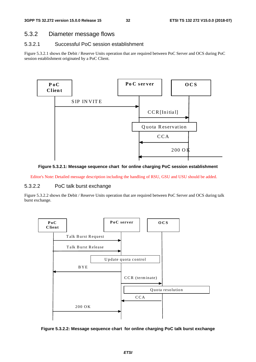### 5.3.2 Diameter message flows

#### 5.3.2.1 Successful PoC session establishment

Figure 5.3.2.1 shows the Debit / Reserve Units operation that are required between PoC Server and OCS during PoC session establishment originated by a PoC Client.



#### **Figure 5.3.2.1: Message sequence chart for online charging PoC session establishment**

Editor's Note: Detailed message description including the handling of RSU, GSU and USU should be added.

### 5.3.2.2 PoC talk burst exchange

Figure 5.3.2.2 shows the Debit / Reserve Units operation that are required between PoC Server and OCS during talk burst exchange.



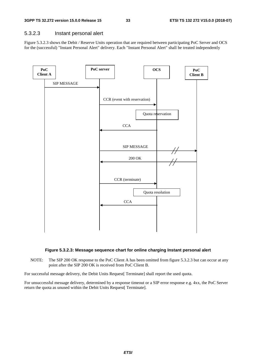#### 5.3.2.3 Instant personal alert

Figure 5.3.2.3 shows the Debit / Reserve Units operation that are required between participating PoC Server and OCS for the (successful) "Instant Personal Alert" delivery. Each "Instant Personal Alert" shall be treated independently





NOTE: The SIP 200 OK response to the PoC Client A has been omitted from figure 5.3.2.3 but can occur at any point after the SIP 200 OK is received from PoC Client B.

For successful message delivery, the Debit Units Request[ Terminate] shall report the used quota.

For unsuccessful message delivery, determined by a response timeout or a SIP error response e.g. 4xx, the PoC Server return the quota as unused within the Debit Units Request[ Terminate].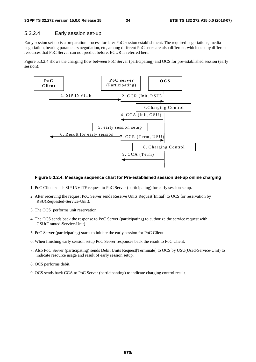#### 5.3.2.4 Early session set-up

Early session set-up is a preparation process for later PoC session establishment. The required negotiations, media negotiation, bearing parameters negotiation, etc, among different PoC users are also different, which occupy different resources that PoC Server can not predict before. ECUR is referred here.

Figure 5.3.2.4 shows the charging flow between PoC Server (participating) and OCS for pre-established session (early session):



#### **Figure 5.3.2.4: Message sequence chart for Pre-established session Set-up online charging**

- 1. PoC Client sends SIP INVITE request to PoC Server (participating) for early session setup.
- 2. After receiving the request PoC Server sends Reserve Units Request[Initial] to OCS for reservation by RSU(Requested-Service-Unit).
- 3. The OCS performs unit reservation.
- 4. The OCS sends back the response to PoC Server (participating) to authorize the service request with GSU(Granted-Service-Unit)
- 5. PoC Server (participating) starts to initiate the early session for PoC Client.
- 6. When finishing early session setup PoC Server responses back the result to PoC Client.
- 7. Also PoC Server (participating) sends Debit Units Request[Terminate] to OCS by USU(Used-Service-Unit) to indicate resource usage and result of early session setup.
- 8. OCS performs debit.
- 9. OCS sends back CCA to PoC Server (participanting) to indicate charging control result.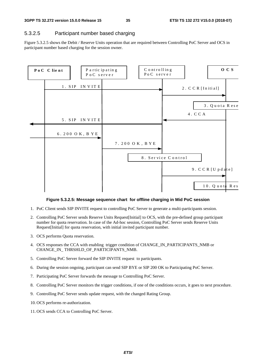### 5.3.2.5 Participant number based charging

Figure 5.3.2.5 shows the Debit / Reserve Units operation that are required between Controlling PoC Server and OCS in participant number based charging for the session owner.



#### **Figure 5.3.2.5: Message sequence chart for offline charging in Mid PoC session**

- 1. PoC Client sends SIP INVITE request to controlling PoC Server to generate a multi-participants session.
- 2. Controlling PoC Server sends Reserve Units Request[Initial] to OCS, with the pre-defined group participant number for quota reservation. In case of the Ad-hoc session, Controlling PoC Server sends Reserve Units Request[Initial] for quota reservation, with initial invited participant number.
- 3. OCS performs Quota reservation.
- 4. OCS responses the CCA with enabling trigger condition of CHANGE\_IN\_PARTICIPANTS\_NMB or CHANGE\_IN\_THRSHLD\_OF\_PARTICIPANTS\_NMB.
- 5. Controlling PoC Server forward the SIP INVITE request to participants.
- 6. During the session ongoing, participant can send SIP BYE or SIP 200 OK to Participating PoC Server.
- 7. Participating PoC Server forwards the message to Controlling PoC Server.
- 8. Controlling PoC Server monitors the trigger conditions, if one of the conditions occurs, it goes to next procedure.
- 9. Controlling PoC Server sends update request, with the changed Rating Group.
- 10. OCS performs re-authorization.
- 11. OCS sends CCA to Controlling PoC Server.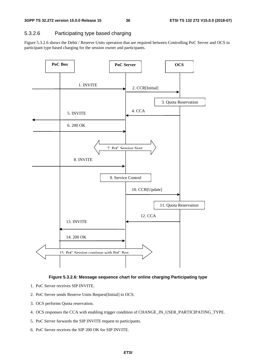### 5.3.2.6 Participating type based charging

Figure 5.3.2.6 shows the Debit / Reserve Units operation that are required between Controlling PoC Server and OCS in participant type based charging for the session owner and participants.





- 1. PoC Server receives SIP INVITE.
- 2. PoC Server sends Reserve Units Request[Initial] to OCS.
- 3. OCS performs Quota reservation.
- 4. OCS responses the CCA with enabling trigger condition of CHANGE\_IN\_USER\_PARTICIPATING\_TYPE.
- 5. PoC Server forwards the SIP INVITE request to participants.
- 6. PoC Server receives the SIP 200 OK for SIP INVITE.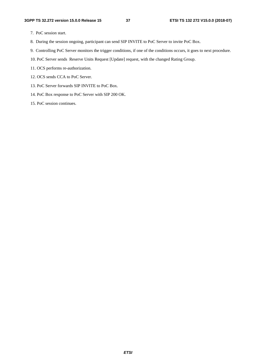- 7. PoC session start.
- 8. During the session ongoing, participant can send SIP INVITE to PoC Server to invite PoC Box.
- 9. Controlling PoC Server monitors the trigger conditions, if one of the conditions occurs, it goes to next procedure.
- 10. PoC Server sends Reserve Units Request [Update] request, with the changed Rating Group.
- 11. OCS performs re-authorization.
- 12. OCS sends CCA to PoC Server.
- 13. PoC Server forwards SIP INVITE to PoC Box.
- 14. PoC Box response to PoC Server with SIP 200 OK.
- 15. PoC session continues.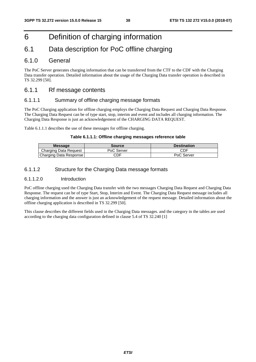# 6 Definition of charging information

# 6.1 Data description for PoC offline charging

### 6.1.0 General

The PoC Server generates charging information that can be transferred from the CTF to the CDF with the Charging Data transfer operation. Detailed information about the usage of the Charging Data transfer operation is described in TS 32.299 [50].

### 6.1.1 Rf message contents

### 6.1.1.1 Summary of offline charging message formats

The PoC Charging application for offline charging employs the Charging Data Request and Charging Data Response. The Charging Data Request can be of type start, stop, interim and event and includes all charging information. The Charging Data Response is just an acknowledgement of the CHARGING DATA REQUEST.

Table 6.1.1.1 describes the use of these messages for offline charging.

#### **Table 6.1.1.1: Offline charging messages reference table**

| <b>Message</b>         | Source     | <b>Destination</b> |  |
|------------------------|------------|--------------------|--|
| Charging Data Request  | PoC Server | CDF                |  |
| Charging Data Response | CDF        | PoC Server         |  |

### 6.1.1.2 Structure for the Charging Data message formats

#### 6.1.1.2.0 Introduction

PoC offline charging used the Charging Data transfer with the two messages Charging Data Request and Charging Data Response. The request can be of type Start, Stop, Interim and Event. The Charging Data Request message includes all charging information and the answer is just an acknowledgement of the request message. Detailed information about the offline charging application is described in TS 32.299 [50].

This clause describes the different fields used in the Charging Data messages. and the category in the tables are used according to the charging data configuration defined in clause 5.4 of TS 32.240 [1]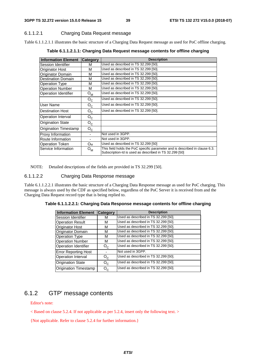### 6.1.1.2.1 Charging Data Request message

Table 6.1.1.2.1.1 illustrates the basic structure of a Charging Data Request message as used for PoC offline charging.

**Information Element Category Description** Session Identifier M M Used as described in TS 32.299 [50] Originator Host M Used as described in TS 32.299 [50].<br>Originator Domain M Used as described in TS 32.299 [50]. Originator Domain M Used as described in TS 32.299 [50].<br>Destination Domain M Used as described in TS 32.299 [50]. Used as described in TS 32.299 [50]. Operation Type M Used as described in TS 32.299 [50]. Operation Number M Used as described in TS 32.299 [50]. Operation Identifier  $O_M$  Used as described in TS 32.299 [50].  $\overline{O_{C}}$  Used as described in TS 32.299 [50].<br> $\overline{O_{\circ}}$  Used as described in TS 32.299 [50]. User Name  $\begin{array}{|c|c|c|c|}\n\hline\nO_C & \text{Used as described in TS 32.299 [50].} \ \hline\nDestitution Host & O_C & \text{Used as described in TS 32.299 [50].} \ \hline\n\end{array}$ Destination Host  $O_C$  Used as described in TS 32.299 [50].<br>Operation Interval  $O_C$  $\begin{array}{c|c}\n\text{Operation Interval} & O_{\text{C}} \\
\hline\n\text{Oriaination State} & O_{\text{C}}\n\end{array}$ **Origination State** Origination Timestamp  $\vert$  O<sub>C</sub> Proxy Information **Fig. 1.1.** Not used in 3GPP. Route Information **Route Information Fig. 2** Not used in 3GPP. Operation Token  $O_M$  Used as described in TS 32.299 [50] Service Information  $O_M$  This field holds the PoC specific parameter and is described in clause 6.3. Subscription-Id is used as described in TS 32.299 [50]

**Table 6.1.1.2.1.1: Charging Data Request message contents for offline charging** 

NOTE: Detailed descriptions of the fields are provided in TS 32.299 [50].

#### 6.1.1.2.2 Charging Data Response message

Table 6.1.1.2.2.1 illustrates the basic structure of a Charging Data Response message as used for PoC charging. This message is always used by the CDF as specified below, regardless of the PoC Server it is received from and the Charging Data Request record type that is being replied to.

|  |  | Table 6.1.1.2.2.1: Charging Data Response message contents for offline charging |
|--|--|---------------------------------------------------------------------------------|
|--|--|---------------------------------------------------------------------------------|

| <b>Information Element</b>   | Category | <b>Description</b>                   |
|------------------------------|----------|--------------------------------------|
| Session Identifier           | М        | Used as described in TS 32.299 [50]. |
| <b>Operation Result</b>      | М        | Used as described in TS 32.299 [50]. |
| Originator Host              | M        | Used as described in TS 32.299 [50]. |
| Originator Domain            | м        | Used as described in TS 32.299 [50]. |
| <b>Operation Type</b>        | м        | Used as described in TS 32.299 [50]. |
| <b>Operation Number</b>      | м        | Used as described in TS 32.299 [50]. |
| <b>Operation Identifier</b>  | $O_{C}$  | Used as described in TS 32.299 [50]. |
| <b>Error Reporting Host</b>  |          | Not used in 3GPP.                    |
| Operation Interval           | $O_{C}$  | Used as described in TS 32.299 [50]. |
| <b>Origination State</b>     | $O_{C}$  | Used as described in TS 32.299 [50]. |
| <b>Origination Timestamp</b> | $O_{C}$  | Used as described in TS 32.299 [50]. |

### 6.1.2 GTP' message contents

Editor's note:

 $\langle$  Based on clause 5.2.4. If not applicable as per 5.2.4, insert only the following text.  $>$ 

{Not applicable. Refer to clause 5.2.4 for further information.}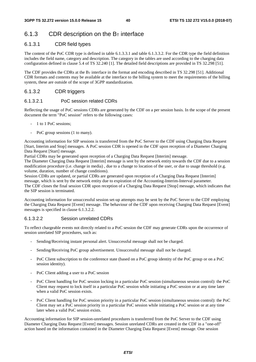# 6.1.3 CDR description on the  $B_T$  interface

### 6.1.3.1 CDR field types

The content of the PoC CDR type is defined in table 6.1.3.3.1 and table 6.1.3.3.2. For the CDR type the field definition includes the field name, category and description. The category in the tables are used according to the charging data configuration defined in clause 5.4 of TS 32.240 [1]. The detailed field descriptions are provided in TS 32.298 [51].

The CDF provides the CDRs at the  $B_T$  interface in the format and encoding described in TS 32.298 [51]. Additional CDR formats and contents may be available at the interface to the billing system to meet the requirements of the billing system, these are outside of the scope of 3GPP standardization.

#### 6.1.3.2 CDR triggers

#### 6.1.3.2.1 PoC session related CDRs

Reflecting the usage of PoC sessions CDRs are generated by the CDF on a per session basis. In the scope of the present document the term "PoC session" refers to the following cases:

- 1 to 1 PoC sessions;
- PoC group sessions (1 to many).

Accounting information for SIP sessions is transferred from the PoC Server to the CDF using Charging Data Request [Start, Interim and Stop] messages. A PoC session CDR is opened in the CDF upon reception of a Diameter Charging Data Request [Start] message.

Partial CDRs may be generated upon reception of a Charging Data Request [Interim] message.

The Diameter Charging Data Request [Interim] message is sent by the network entity towards the CDF due to a session modification procedure (i.e. change in media) , due to a change to location of the user, or due to usage threshold (e.g. volume, duration, number of change conditions).

Session CDRs are updated, or partial CDRs are generated upon reception of a Charging Data Request [Interim] message, which is sent by the network entity due to expiration of the Accounting-Interim-Interval parameter. The CDF closes the final session CDR upon reception of a Charging Data Request [Stop] message, which indicates that the SIP session is terminated.

Accounting information for unsuccessful session set-up attempts may be sent by the PoC Server to the CDF employing the Charging Data Request [Event] message. The behaviour of the CDF upon receiving Charging Data Request [Event] messages is specified in clause 6.1.3.2.2.

#### 6.1.3.2.2 Session unrelated CDRs

To reflect chargeable events not directly related to a PoC session the CDF may generate CDRs upon the occurrence of session unrelated SIP procedures, such as:

- Sending/Receiving instant personal alert. Unsuccessful message shall not be charged.
- Sending/Receiving PoC group advertisement. Unsuccessful message shall not be charged.
- PoC Client subscription to the conference state (based on a PoC group identity of the PoC group or on a PoC session identity).
- PoC Client adding a user to a PoC session
- PoC Client handling for PoC session locking in a particular PoC session (simultaneous session control): the PoC Client may request to lock itself in a particular PoC session while initiating a PoC session or at any time later when a valid PoC session exists.
- PoC Client handling for PoC session priority in a particular PoC session (simultaneous session control): the PoC Client may set a PoC session priority in a particular PoC session while initiating a PoC session or at any time later when a valid PoC session exists.

Accounting information for SIP session-unrelated procedures is transferred from the PoC Server to the CDF using Diameter Charging Data Request [Event] messages. Session unrelated CDRs are created in the CDF in a "one-off" action based on the information contained in the Diameter Charging Data Request [Event] message. One session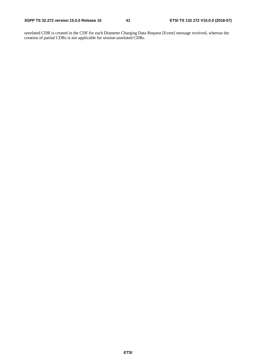unrelated CDR is created in the CDF for each Diameter Charging Data Request [Event] message received, whereas the creation of partial CDRs is not applicable for session unrelated CDRs.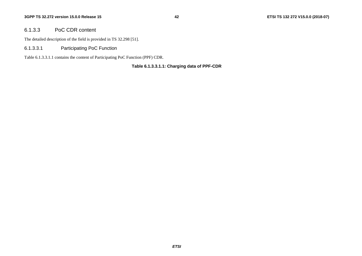#### 6.1.3.3 PoC CDR content

The detailed description of the field is provided in TS 32.298 [51].

6.1.3.3.1 Participating PoC Function

Table 6.1.3.3.1.1 contains the content of Participating PoC Function (PPF) CDR.

#### **Table 6.1.3.3.1.1: Charging data of PPF-CDR**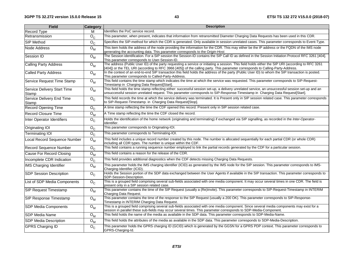| <b>Field</b>                         | <b>Category</b>    | <b>Description</b>                                                                                                                                                                                                                                                                   |  |
|--------------------------------------|--------------------|--------------------------------------------------------------------------------------------------------------------------------------------------------------------------------------------------------------------------------------------------------------------------------------|--|
| <b>Record Type</b>                   | M                  | Ildentifies the PoC service record.                                                                                                                                                                                                                                                  |  |
| Retransmission                       | $O_{C}$            | This parameter, when present, indicates that information from retransmitted Diameter Charging Data Requests has been used in this CDR.                                                                                                                                               |  |
| <b>SIP Method</b>                    | $O_{C}$            | Specifies the SIP-method for which the CDR is generated. Only available in session unrelated cases. This parameter corresponds to Event-Type.                                                                                                                                        |  |
| Node Address                         | $\overline{O}_{M}$ | This item holds the address of the node providing the information for the CDR. This may either be the IP address or the FQDN of the IMS node<br>generating the accounting data. This parameter corresponds to the Origin-Host.                                                       |  |
| Session ID                           | $O_{M}$            | The Session identification. For a SIP session the Session-ID contains the SIP Call ID as defined in the Session Initiation Protocol RFC 3261 [404].<br>This parameter corresponds to User-Session-ID.                                                                                |  |
| Calling Party Address                | $O_{M}$            | The address (Public User ID) of the party requesting a service or initiating a session. This field holds either the SIP URI (according to RFC 3261<br>[404]) or the TEL URI (according to RFC 3966 [405]) of the calling party. This parameter corresponds to Calling-Party-Address. |  |
| <b>Called Party Address</b>          | $O_{M}$            | In the context of an end-to-end SIP transaction this field holds the address of the party (Public User ID) to whom the SIP transaction is posted.<br>This parameter corresponds to Called-Party-Address.                                                                             |  |
| Service Request Time Stamp           | $O_{M}$            | This field contains the time stamp which indicates the time at which the service was requested. This parameter corresponds to SIP-Request-<br>Timestamp in Charging Data Request[Start].                                                                                             |  |
| Service Delivery Start Time<br>Stamp | $O_{M}$            | This field holds the time stamp reflecting either: successful session set-up, a delivery unrelated service, an unsuccessful session set-up and an<br>unsuccessful session unrelated request. This parameter corresponds to SIP-Response-Timestamp in Charging Data Request[Start].   |  |
| Service Delivery End Time<br>Stamp   | $O_{C}$            | This field records the time at which the service delivery was terminated. It is Present only in SIP session related case. This parameter corresponds<br>to SIP-Request-Timestamp. in Charging Data Request[Stop].                                                                    |  |
| <b>Record Opening Time</b>           | $O_{C}$            | A time stamp reflecting the time the CDF opened this record. Present only in SIP session related case.                                                                                                                                                                               |  |
| <b>Record Closure Time</b>           | $O_{M}$            | A Time stamp reflecting the time the CDF closed the record.                                                                                                                                                                                                                          |  |
| Inter Operator Identifiers           | $O_{C}$            | Holds the identification of the home network (originating and terminating) if exchanged via SIP signalling, as recorded in the Inter-Operator-<br>Identifier.                                                                                                                        |  |
| <b>Originating IOI</b>               | $O_{C}$            | This parameter corresponds to Originating-IOI.                                                                                                                                                                                                                                       |  |
| <b>Terminating IOI</b>               | $O_{C}$            | This parameter corresponds to Terminating-IOI.                                                                                                                                                                                                                                       |  |
| Local Record Sequence Number         | $O_{M}$            | This field includes a unique record number created by this node. The number is allocated sequentially for each partial CDR (or whole CDR)<br>including all CDR types. The number is unique within the CDF.                                                                           |  |
| <b>Record Sequence Number</b>        | $O_{C}$            | This field contains a running sequence number employed to link the partial records generated by the CDF for a particular session.                                                                                                                                                    |  |
| Cause For Record Closing             | $O_{M}$            | This field contains a reason for the release of the CDR.                                                                                                                                                                                                                             |  |
| Incomplete CDR Indication            | $O_{C}$            | This field provides additional diagnostics when the CDF detects missing Charging Data Requests.                                                                                                                                                                                      |  |
| <b>IMS Charging Identifier</b>       | $O_{M}$            | This parameter holds the IMS charging identifier (ICID) as generated by the IMS node for the SIP session. This parameter corresponds to IMS-<br>Charging-Identifier (ICID).                                                                                                          |  |
| <b>SDP Session Description</b>       | $O_{C}$            | Holds the Session portion of the SDP data exchanged between the User Agents if available in the SIP transaction. This parameter corresponds to<br>SDP-Session-Description.                                                                                                           |  |
| List of SDP Media Components         | $O_{C}$            | This is a grouped field comprising several sub-fields associated with one media component. It may occur several times in one CDR. The field is<br>present only in a SIP session related case.                                                                                        |  |
| <b>SIP Request Timestamp</b>         | $O_{M}$            | This parameter contains the time of the SIP Request (usually a (Re)Invite). This parameter corresponds to SIP-Request-Timestamp in INTERIM<br>Charging Data Request.                                                                                                                 |  |
| <b>SIP Response Timestamp</b>        | $O_{M}$            | This parameter contains the time of the response to the SIP Request (usually a 200 OK). This parameter corresponds to SIP-Response-<br>Timestamp in INTERIM Charging Data Request.                                                                                                   |  |
| <b>SDP Media Components</b>          | $O_{M}$            | This is a grouped field comprising several sub-fields associated with one media component. Since several media components may exist for a<br>session in parallel these sub-fields may occur several times. This parameter corresponds to SDP-Media-Component.                        |  |
| <b>SDP Media Name</b>                | $O_{M}$            | This field holds the name of the media as available in the SDP data. This parameter corresponds to SDP-Media-Name.                                                                                                                                                                   |  |
| <b>SDP Media Description</b>         | $O_{M}$            | This field holds the attributes of the media as available in the SDP data. This parameter corresponds to SDP-Media-Description.                                                                                                                                                      |  |
| <b>GPRS Charging ID</b>              | $O_{C}$            | This parameter holds the GPRS charging ID (GCID) which is generated by the GGSN for a GPRS PDP context. This parameter corresponds to<br>GPRS-Charging-Id.                                                                                                                           |  |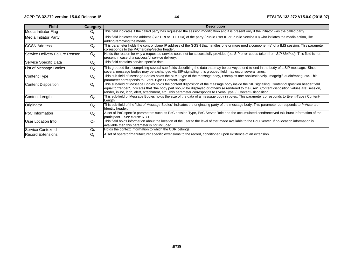| <b>Field</b>                    | <b>Category</b>       | <b>Description</b>                                                                                                                                                                                                                                                                                                                                                                                                   |
|---------------------------------|-----------------------|----------------------------------------------------------------------------------------------------------------------------------------------------------------------------------------------------------------------------------------------------------------------------------------------------------------------------------------------------------------------------------------------------------------------|
| Media Initiator Flag            | $O_{C}$               | This field indicates if the called party has requested the session modification and it is present only if the initiator was the called party.                                                                                                                                                                                                                                                                        |
| Media Initiator Party           | $O_{C}$               | This field indicates the address (SIP URI or TEL URI) of the party (Public User ID or Public Service ID) who initiates the media action, like<br>adding/removing the media.                                                                                                                                                                                                                                          |
| IGGSN Address                   | $O_{C}$               | This parameter holds the control plane IP address of the GGSN that handles one or more media component(s) of a IMS session. This parameter<br>corresponds to the P-Charging-Vector header.                                                                                                                                                                                                                           |
| Service Delivery Failure Reason | $O_{C}$               | Holds the reason for why a requested service could not be successfully provided (i.e. SIP error codes taken from SIP-Method). This field is not<br>present in case of a successful service delivery.                                                                                                                                                                                                                 |
| Service Specific Data           | $O_{C}$               | This field contains service specific data.                                                                                                                                                                                                                                                                                                                                                                           |
| List of Message Bodies          | $O_{C}$               | This grouped field comprising several sub-fields describing the data that may be conveyed end-to-end in the body of a SIP message. Since<br>several message bodies may be exchanged via SIP-signalling, this grouped field may occur several times.                                                                                                                                                                  |
| Content Type                    | $O_{C}$               | This sub-field of Message Bodies holds the MIME type of the message body, Examples are: application/zip, image/gif, audio/mpeg, etc. This<br>parameter corresponds to Event-Type / Content-Type.                                                                                                                                                                                                                     |
| Content Disposition             | $O_{C}$               | This sub-field of Message Bodies holds the content disposition of the message body inside the SIP signalling, Content-disposition header field<br>equal to "render", indicates that "the body part should be displayed or otherwise rendered to the user". Content disposition values are: session,<br>render, inline, icon, alert, attachment, etc. This parameter corresponds to Event-Type / Content-Disposition. |
| Content Length                  | $O_{C}$               | This sub-field of Message Bodies holds the size of the data of a message body in bytes. This parameter corresponds to Event-Type / Content-<br>Length.                                                                                                                                                                                                                                                               |
| Originator                      | $O_{C}$               | This sub-field of the "List of Message Bodies" indicates the originating party of the message body. This parameter corresponds to P-Asserted-<br>Identity header.                                                                                                                                                                                                                                                    |
| <b>PoC</b> Information          | $O_{C}$               | A set of PoC specific parameters such as PoC session Type, PoC Server Role and the accumulated send/received talk burst information of the<br>participant. . See clause 6.3.1.2.                                                                                                                                                                                                                                     |
| User Location Info              | O <sub>C</sub>        | This field holds information about the location of the user to the level of that made available to the PoC Server. If no location information is<br>available then this parameter is not included.                                                                                                                                                                                                                   |
| lService Context Id             | <b>O</b> <sub>M</sub> | Holds the context information to which the CDR belongs                                                                                                                                                                                                                                                                                                                                                               |
| <b>Record Extensions</b>        | $O_{C}$               | A set of operator/manufacturer specific extensions to the record, conditioned upon existence of an extension.                                                                                                                                                                                                                                                                                                        |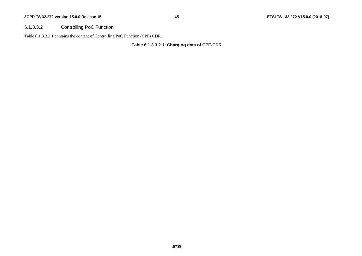### 6.1.3.3.2 Controlling PoC Function

Table 6.1.3.3.2.1 contains the content of Controlling PoC Function (CPF) CDR.

#### **Table 6.1.3.3.2.1: Charging data of CPF-CDR**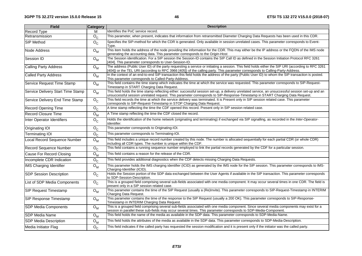| <b>Field</b>                      | <b>Category</b>                      | <b>Description</b>                                                                                                                                                                                                                                                                   |
|-----------------------------------|--------------------------------------|--------------------------------------------------------------------------------------------------------------------------------------------------------------------------------------------------------------------------------------------------------------------------------------|
| Record Type                       | M                                    | Identifies the PoC service record.                                                                                                                                                                                                                                                   |
| Retransmission                    | $O_{C}$                              | This parameter, when present, indicates that information from retransmitted Diameter Charging Data Requests has been used in this CDR.                                                                                                                                               |
| SIP Method                        | $O_{C}$                              | Specifies the SIP-method for which the CDR is generated. Only available in session unrelated cases. This parameter corresponds to Event-<br>Type.                                                                                                                                    |
| Node Address                      | $\overline{O}_{M}$                   | This item holds the address of the node providing the information for the CDR. This may either be the IP address or the FQDN of the IMS node<br>generating the accounting data. This parameter corresponds to the Origin-Host.                                                       |
| Session ID                        | $\overline{O}_{M}$                   | The Session identification. For a SIP session the Session-ID contains the SIP Call ID as defined in the Session Initiation Protocol RFC 3261<br>[404]. This parameter corresponds to User-Session-ID.                                                                                |
| Calling Party Address             | $O_{M}$                              | The address (Public User ID) of the party requesting a service or initiating a session. This field holds either the SIP URI (according to RFC 3261<br>[404]) or the TEL URI (according to RFC 3966 [405]) of the calling party. This parameter corresponds to Calling-Party-Address. |
| <b>Called Party Address</b>       | $O_{M}$                              | In the context of an end-to-end SIP transaction this field holds the address of the party (Public User ID) to whom the SIP transaction is posted.<br>This parameter corresponds to Called-Party-Address.                                                                             |
| Service Request Time Stamp        | $O_{M}$                              | This field contains the time stamp which indicates the time at which the service was requested. This parameter corresponds to SIP-Request-<br>Timestamp in START Charging Data Request.                                                                                              |
| Service Delivery Start Time Stamp | $O_{M}$                              | This field holds the time stamp reflecting either: successful session set-up, a delivery unrelated service, an unsuccessful session set-up and an<br>unsuccessful session unrelated request. This parameter corresponds to SIP-Response-Timestamp in START Charging Data Request.    |
| Service Delivery End Time Stamp   | $O_{C}$                              | This field records the time at which the service delivery was terminated. It is Present only in SIP session related case. This parameter<br>corresponds to SIP-Request-Timestamp in STOP Charging Data Request.                                                                      |
| <b>Record Opening Time</b>        | $O_{C}$                              | A time stamp reflecting the time the CDF opened this record. Present only in SIP session related case.                                                                                                                                                                               |
| <b>Record Closure Time</b>        | $\overline{O}_{M}$                   | A Time stamp reflecting the time the CDF closed the record.                                                                                                                                                                                                                          |
| Inter Operator Identifiers        | $O_{C}$                              | Holds the identification of the home network (originating and terminating) if exchanged via SIP signalling, as recorded in the Inter-Operator-<br>Identifier.                                                                                                                        |
| Originating IOI                   | $O_{C}$                              | This parameter corresponds to Originating-IOI.                                                                                                                                                                                                                                       |
| <b>Terminating IOI</b>            | $O_{C}$                              | This parameter corresponds to Terminating-IOI.                                                                                                                                                                                                                                       |
| Local Record Sequence Number      | $\overline{\mathsf{O}}_{\mathsf{M}}$ | This field includes a unique record number created by this node. The number is allocated sequentially for each partial CDR (or whole CDR)<br>including all CDR types. The number is unique within the CDF.                                                                           |
| Record Sequence Number            | $\overline{\mathsf{o}}_{\mathsf{c}}$ | This field contains a running sequence number employed to link the partial records generated by the CDF for a particular session.                                                                                                                                                    |
| Cause For Record Closing          | $\overline{O}_{M}$                   | This field contains a reason for the release of the CDR.                                                                                                                                                                                                                             |
| Incomplete CDR Indication         | $O_{C}$                              | This field provides additional diagnostics when the CDF detects missing Charging Data Requests.                                                                                                                                                                                      |
| <b>IMS Charging Identifier</b>    | $\overline{O}_{M}$                   | This parameter holds the IMS charging identifier (ICID) as generated by the IMS node for the SIP session. This parameter corresponds to IMS-<br>Charging-Identifier (ICID).                                                                                                          |
| <b>SDP Session Description</b>    | $O_{C}$                              | Holds the Session portion of the SDP data exchanged between the User Agents if available in the SIP transaction. This parameter corresponds<br>to SDP-Session-Description.                                                                                                           |
| List of SDP Media Components      | $O_{C}$                              | This is a grouped field comprising several sub-fields associated with one media component. It may occur several times in one CDR. The field is<br>present only in a SIP session related case.                                                                                        |
| <b>SIP Request Timestamp</b>      | $O_{M}$                              | This parameter contains the time of the SIP Request (usually a (Re)Invite). This parameter corresponds to SIP-Request-Timestamp in INTERIM<br>Charging Data Request.                                                                                                                 |
| SIP Response Timestamp            | $O_{M}$                              | This parameter contains the time of the response to the SIP Request (usually a 200 OK). This parameter corresponds to SIP-Response-<br>Timestamp in INTERIM Charging Data Request.                                                                                                   |
| <b>SDP Media Components</b>       | $O_{M}$                              | This is a grouped field comprising several sub-fields associated with one media component. Since several media components may exist for a<br>session in parallel these sub-fields may occur several times. This parameter corresponds to SDP-Media-Component.                        |
| <b>SDP Media Name</b>             | $O_{M}$                              | This field holds the name of the media as available in the SDP data. This parameter corresponds to SDP-Media-Name.                                                                                                                                                                   |
| <b>SDP Media Description</b>      | $O_{M}$                              | This field holds the attributes of the media as available in the SDP data. This parameter corresponds to SDP-Media-Description.                                                                                                                                                      |
| Media Initiator Flag              | $O_{C}$                              | This field indicates if the called party has requested the session modification and it is present only if the initiator was the called party.                                                                                                                                        |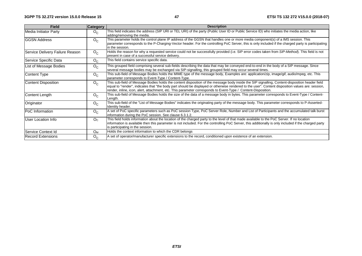| <b>Field</b>                    | <b>Category</b> | <b>Description</b>                                                                                                                                                                                                                                                                                                                                                                                                   |
|---------------------------------|-----------------|----------------------------------------------------------------------------------------------------------------------------------------------------------------------------------------------------------------------------------------------------------------------------------------------------------------------------------------------------------------------------------------------------------------------|
| Media Initiator Party           | $O_{C}$         | This field indicates the address (SIP URI or TEL URI) of the party (Public User ID or Public Service ID) who initiates the media action, like<br>adding/removing the media.                                                                                                                                                                                                                                          |
| <b>IGGSN Address</b>            | $O_{C}$         | This parameter holds the control plane IP address of the GGSN that handles one or more media component(s) of a IMS session. This<br>parameter corresponds to the P-Charging-Vector header. For the controlling PoC Server, this is only included if the charged party is participating<br>in the session.                                                                                                            |
| Service Delivery Failure Reason | $O_{C}$         | Holds the reason for why a requested service could not be successfully provided (i.e. SIP error codes taken from SIP-Method). This field is not<br>present in case of a successful service delivery.                                                                                                                                                                                                                 |
| Service Specific Data           | $O_{C}$         | This field contains service specific data.                                                                                                                                                                                                                                                                                                                                                                           |
| List of Message Bodies          | $O_{C}$         | This grouped field comprising several sub-fields describing the data that may be conveyed end-to-end in the body of a SIP message. Since<br>several message bodies may be exchanged via SIP-signalling, this grouped field may occur several times.                                                                                                                                                                  |
| Content Type                    | $O_{C}$         | This sub-field of Message Bodies holds the MIME type of the message body, Examples are: application/zip, image/gif, audio/mpeg, etc. This<br>parameter corresponds to Event-Type / Content-Type.                                                                                                                                                                                                                     |
| <b>Content Disposition</b>      | $O_{C}$         | This sub-field of Message Bodies holds the content disposition of the message body inside the SIP signalling, Content-disposition header field<br>equal to "render", indicates that "the body part should be displayed or otherwise rendered to the user". Content disposition values are: session,<br>render, inline, icon, alert, attachment, etc. This parameter corresponds to Event-Type / Content-Disposition. |
| Content Length                  | $O_{C}$         | This sub-field of Message Bodies holds the size of the data of a message body in bytes. This parameter corresponds to Event-Type / Content-<br>Lenath.                                                                                                                                                                                                                                                               |
| Originator                      | $O_{C}$         | This sub-field of the "List of Message Bodies" indicates the originating party of the message body. This parameter corresponds to P-Asserted-<br>Identity header.                                                                                                                                                                                                                                                    |
| <b>PoC</b> Information          | $O_{C}$         | A set of PoC specific parameters such as PoC session Type, PoC Server Role, Number and List of Participants and the accumulated talk burst<br>information during the PoC session. See clause 6.3.1.2.                                                                                                                                                                                                                |
| User Location Info              | O <sub>C</sub>  | This field holds information about the location of the charged party to the level of that made available to the PoC Server. If no location<br>information is available then this parameter is not included. For the controlling PoC Server, this additionally is only included if the charged party<br>is participating in the session.                                                                              |
| Service Context Id              | $O_{M}$         | Holds the context information to which the CDR belongs                                                                                                                                                                                                                                                                                                                                                               |
| Record Extensions               | $O_{C}$         | A set of operator/manufacturer specific extensions to the record, conditioned upon existence of an extension.                                                                                                                                                                                                                                                                                                        |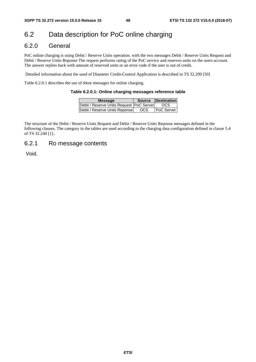# 6.2 Data description for PoC online charging

### 6.2.0 General

PoC online charging is using Debit / Reserve Units operation. with the two messages Debit / Reserve Units Request and Debit / Reserve Units Reponse The request performs rating of the PoC service and reserves units on the users account. The answer replies back with amount of reserved units or an error code if the user is out of credit.

Detailed information about the used of Diameter Credit-Control Application is described in TS 32.299 [50]

Table 6.2.0.1 describes the use of these messages for online charging.

#### **Table 6.2.0.1: Online charging messages reference table**

| <b>Message</b>                             | Source | <b>Destination</b> |  |  |
|--------------------------------------------|--------|--------------------|--|--|
| Debit / Reserve Units Request   PoC Server |        | <b>OCS</b>         |  |  |
| Debit / Reserve Units Reponse              | OCS    | <b>PoC Server</b>  |  |  |

The structure of the Debit / Reserve Units Request and Debit / Reserve Units Reponse messages defined in the following clauses. The category in the tables are used according to the charging data configuration defined in clause 5.4 of TS 32.240 [1]..

### 6.2.1 Ro message contents

Void.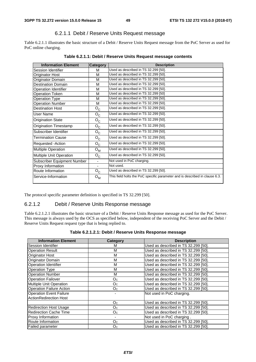### 6.2.1.1 Debit / Reserve Units Request message

Table 6.2.1.1 illustrates the basic structure of a Debit / Reserve Units Request message from the PoC Server as used for PoC online charging.

| <b>Information Element</b>   | Category         | <b>Description</b>                                                          |
|------------------------------|------------------|-----------------------------------------------------------------------------|
| Session Identifier           | м                | Used as described in TS 32.299 [50].                                        |
| Originator Host              | м                | Used as described in TS 32.299 [50].                                        |
| Originator Domain            | M                | Used as described in TS 32.299 [50].                                        |
| <b>Destination Domain</b>    | м                | Used as described in TS 32.299 [50].                                        |
| Operation Identifier         | м                | Used as described in TS 32.299 [50].                                        |
| <b>Operation Token</b>       | м                | Used as described in TS 32.299 [50]                                         |
| <b>Operation Type</b>        | м                | Used as described in TS 32.299 [50].                                        |
| <b>Operation Number</b>      | м                | Used as described in TS 32.299 [50].                                        |
| <b>Destination Host</b>      | $O_{C}$          | Used as described in TS 32.299 [50].                                        |
| <b>User Name</b>             | $O_{C}$          | Used as described in TS 32.299 [50].                                        |
| <b>Origination State</b>     | $O_{C}$          | Used as described in TS 32.299 [50].                                        |
| <b>Origination Timestamp</b> | $O_{C}$          | Used as described in TS 32.299 [50].                                        |
| Subscriber Identifier        | $O_{C}$          | Used as described in TS 32.299 [50].                                        |
| <b>Termination Cause</b>     | $O_{C}$          | Used as described in TS 32.299 [50].                                        |
| Requested -Action            | $O_{C}$          | Used as described in TS 32.299 [50].                                        |
| Multiple Operation           | $O_{M}$          | Used as described in TS 32.299 [50].                                        |
| Multiple Unit Operation      | $O_{C}$          | Used as described in TS 32.299 [50].                                        |
| Subscriber Equipment Number  |                  | Not used in PoC charging.                                                   |
| Proxy Information            |                  | Not used.                                                                   |
| Route Information            | $O_{C}$          | Used as described in TS 32.299 [50].                                        |
| Service-Information          | $O_{\mathsf{M}}$ | This field holts the PoC specific parameter and is described in clause 6.3. |

The protocol specific parameter definition is specified in TS 32.299 [50].

#### 6.2.1.2 Debit / Reserve Units Response message

Table 6.2.1.2.1 illustrates the basic structure of a Debit / Reserve Units Response message as used for the PoC Server. This message is always used by the OCS as specified below, independent of the receiving PoC Server and the Debit / Reserve Units Request request type that is being replied to.

| Table 6.2.1.2.1: Debit / Reserve Units Response message |  |  |
|---------------------------------------------------------|--|--|
|---------------------------------------------------------|--|--|

| <b>Information Element</b>      | Category       | <b>Description</b>                   |
|---------------------------------|----------------|--------------------------------------|
| Session Identifier              | м              | Used as described in TS 32.299 [50]. |
| <b>Operation Result</b>         | M              | Used as described in TS 32.299 [50]. |
| Originator Host                 | M              | Used as described in TS 32.299 [50]. |
| Originator Domain               | M              | Used as described in TS 32.299 [50]. |
| <b>Operation Identifier</b>     | M              | Used as described in TS 32.299 [50]. |
| <b>Operation Type</b>           | M              | Used as described in TS 32.299 [50]. |
| <b>Operation Number</b>         | м              | Used as described in TS 32.299 [50]. |
| <b>Operation Failover</b>       | O <sub>C</sub> | Used as described in TS 32.299 [50]. |
| Multiple Unit Operation         | O <sub>C</sub> | Used as described in TS 32.299 [50]. |
| <b>Operation Failure Action</b> | O <sub>C</sub> | Used as described in TS 32.299 [50]. |
| <b>Operation Event Failure</b>  |                | Not used in PoC charging.            |
| <b>ActionRedirection Host</b>   |                |                                      |
|                                 | O <sub>C</sub> | Used as described in TS 32.299 [50]. |
| <b>Redirection Host Usage</b>   | O <sub>C</sub> | Used as described in TS 32.299 [50]. |
| <b>Redirection Cache Time</b>   | O <sub>C</sub> | Used as described in TS 32.299 [50]. |
| <b>Proxy Information</b>        |                | Not used in PoC charging.            |
| Route Information               | O <sub>C</sub> | Used as described in TS 32.299 [50]. |
| <b>Failed parameter</b>         | O <sub>C</sub> | Used as described in TS 32.299 [50]. |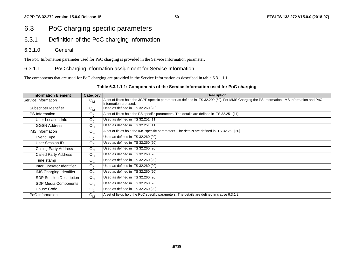# 6.3 PoC charging specific parameters

- 6.3.1 Definition of the PoC charging information
- 6.3.1.0 General

The PoC Information parameter used for PoC charging is provided in the Service Information parameter.

### 6.3.1.1 PoC charging information assignment for Service Information

The components that are used for PoC charging are provided in the Service Information as described in table 6.3.1.1.1.

#### **Table 6.3.1.1.1: Components of the Service Information used for PoC charging**

| <b>Information Element</b>     | <b>Category</b> | <b>Description</b>                                                                                                                                                   |
|--------------------------------|-----------------|----------------------------------------------------------------------------------------------------------------------------------------------------------------------|
| Service Information            | $O_{M}$         | A set of fields hold the 3GPP specific parameter as defined in TS 32.299 [50]. For MMS Charging the PS Information, IMS Information and PoC<br>Information are used. |
| Subscriber Identifier          | $O_{M}$         | Used as defined in TS 32.260 [20].                                                                                                                                   |
| <b>PS</b> Information          | $O_{C}$         | A set of fields hold the PS specific parameters. The details are defined in TS 32.251 [11].                                                                          |
| User Location Info             | $O_{C}$         | Used as defined in TS 32.251 [11].                                                                                                                                   |
| <b>GGSN Address</b>            | $O_{C}$         | Used as defined in TS 32.251 [11].                                                                                                                                   |
| <b>IMS</b> Information         | $O_{C}$         | A set of fields hold the IMS specific parameters. The details are defined in TS 32.260 [20].                                                                         |
| Event Type                     | $O_{C}$         | Used as defined in TS 32.260 [20].                                                                                                                                   |
| User Session ID                | $O_{C}$         | Used as defined in TS 32.260 [20].                                                                                                                                   |
| <b>Calling Party Address</b>   | $O_C$           | Used as defined in TS 32.260 [20].                                                                                                                                   |
| <b>Called Party Address</b>    | $O_{C}$         | Used as defined in TS 32.260 [20].                                                                                                                                   |
| Time stamp                     | $O_{C}$         | Used as defined in TS 32.260 [20].                                                                                                                                   |
| Inter Operator Identifier      | $O_{C}$         | Used as defined in TS 32.260 [20].                                                                                                                                   |
| <b>IMS Charging Identifier</b> | $O_{C}$         | Used as defined in TS 32.260 [20].                                                                                                                                   |
| SDP Session Description        | $O_{C}$         | Used as defined in TS 32.260 [20].                                                                                                                                   |
| SDP Media Components           | $O_{C}$         | Used as defined in TS 32.260 [20].                                                                                                                                   |
| Cause Code                     | $O_{C}$         | Used as defined in TS 32.260 [20].                                                                                                                                   |
| PoC Information                | $O_{M}$         | A set of fields hold the PoC specific parameters. The details are defined in clause 6.3.1.2.                                                                         |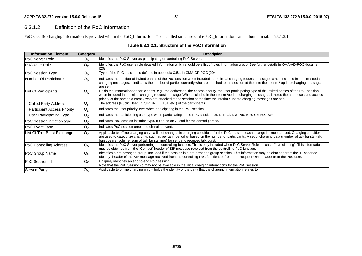#### 6.3.1.2 Definition of the PoC Information

PoC specific charging information is provided within the PoC\_Information. The detailed structure of the PoC\_Information can be found in table 6.3.1.2.1.

| <b>Information Element</b>         | Category       | <b>Description</b>                                                                                                                                                                                                                                                                                                                                                                                                                            |
|------------------------------------|----------------|-----------------------------------------------------------------------------------------------------------------------------------------------------------------------------------------------------------------------------------------------------------------------------------------------------------------------------------------------------------------------------------------------------------------------------------------------|
| <b>IPoC Server Role</b>            | $O_{M}$        | Identifies the PoC Server as participating or controlling PoC Server.                                                                                                                                                                                                                                                                                                                                                                         |
| PoC User Role                      | $O_{C}$        | Identifies the PoC user's role detailed information which should be a list of roles information group. See further details in OMA-AD-POC document<br>$[203]$ .                                                                                                                                                                                                                                                                                |
| PoC Session Type                   | $O_{M}$        | Type of the PoC session as defined in appendix C.5.1 in OMA-CP-POC [204].                                                                                                                                                                                                                                                                                                                                                                     |
| Number Of Participants             | $O_{M}$        | Indicates the number of invited parties of the PoC session when included in the initial charging request message. When included in interim / update<br>charging messages, it indicates the number of parties currently who are attached to the session at the time the interim / update charging messages<br>lare sent.                                                                                                                       |
| List Of Participants               | $O_{C}$        | Holds the information for participants, e.g., the addresses, the access priority, the user participating type of the invited parties of the PoC session<br>when included in the initial charging request message. When included in the interim /update charging messages, it holds the addresses and access<br>priority of the parties currently who are attached to the session at the time the interim / update charging messages are sent. |
| <b>Called Party Address</b>        | $O_{C}$        | The address (Public User ID, SIP URL, E.164, etc.) of the participants.                                                                                                                                                                                                                                                                                                                                                                       |
| <b>Participant Access Priority</b> | $O_{C}$        | Indicates the user priority level when participating in the PoC session.                                                                                                                                                                                                                                                                                                                                                                      |
| <b>User Participating Type</b>     | $O_{C}$        | Indicates the participating user type when participating in the PoC session, i.e. Normal, NW PoC Box, UE PoC Box.                                                                                                                                                                                                                                                                                                                             |
| PoC Session initiation type        | $O_{C}$        | Indicates PoC session initiation type. It can be only used for the served parties.                                                                                                                                                                                                                                                                                                                                                            |
| PoC Event Type                     | $O_{C}$        | Indicates PoC session unrelated charging event.                                                                                                                                                                                                                                                                                                                                                                                               |
| List Of Talk Burst-Exchange        | $O_{C}$        | Applicable to offline charging only - a list of changes in charging conditions for the PoC session, each change is time stamped. Charging conditions<br>are used to categorize charging, such as per tariff period or based on the number of participants. A set of charging data (number of talk bursts, talk<br>burst bearer volume, sum of talk bursts time) for sent and received talk burst.                                             |
| PoC Controlling Address            | O <sub>C</sub> | Identifies the PoC Server performing the controlling function. This is only included when PoC Server Role indicates "participating". This information<br>may be obtained from the "Contact" header of SIP message received from the controlling PoC function.                                                                                                                                                                                 |
| PoC Group Name                     | O <sub>C</sub> | Identifies a pre-arranged group. Included if the session is a pre-arranged group session. This information may be obtained from the "P-Asserted-<br>Identity" header of the SIP message received from the controlling PoC function, or from the "Request-URI" header from the PoC user.                                                                                                                                                       |
| <b>PoC Session Id</b>              | O <sub>C</sub> | Uniquely identifies an end-to-end PoC session.<br>Note that the PoC Session-Id may not be available in the initial charging interactions for the PoC session.                                                                                                                                                                                                                                                                                 |
| <b>Served Party</b>                | $O_{M}$        | Applicable to offline charging only - holds the identity of the party that the charging information relates to.                                                                                                                                                                                                                                                                                                                               |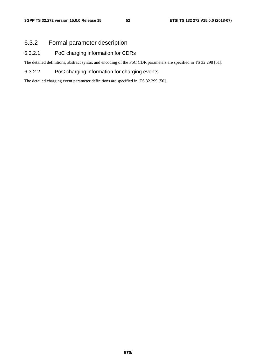# 6.3.2 Formal parameter description

### 6.3.2.1 PoC charging information for CDRs

The detailed definitions, abstract syntax and encoding of the PoC CDR parameters are specified in TS 32.298 [51].

### 6.3.2.2 PoC charging information for charging events

The detailed charging event parameter definitions are specified in TS 32.299 [50].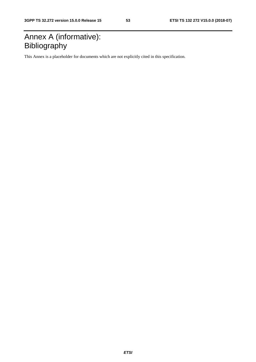# Annex A (informative): Bibliography

This Annex is a placeholder for documents which are not explicitly cited in this specification.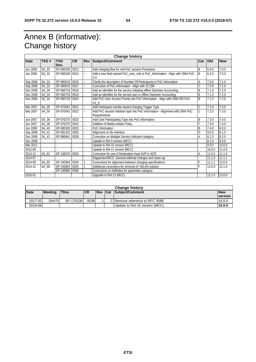# Annex B (informative): Change history

| <b>Change history</b> |       |             |           |     |                                                                                               |     |            |            |
|-----------------------|-------|-------------|-----------|-----|-----------------------------------------------------------------------------------------------|-----|------------|------------|
| Date                  | TSG#  | TSG<br>Doc. | <b>CR</b> | Rev | <b>Subject/Comment</b>                                                                        | Cat | <b>Old</b> | <b>New</b> |
| Jun 2006              | SA_32 | SP-060248   | 0013      | Щ.  | Add charging flow for mid PoC session Procedure                                               | B   | 6.4.0      | 7.0.0      |
| Jun 2006              | SA_32 | SP-060248   | 0014      | Щ.  | Add a new field named PoC_user_role to PoC_Information - Align with OMA PoC<br>2.0            | B   | 6.4.0      | 7.0.0      |
| Sep 2006              | SA_33 | SP-060516   | 0016      | н.  | Clarify the description of Number-Of-Participants in PoC-information                          | Α   | 7.0.0      | 7.1.0      |
| Sep 2006              | SA_33 | SP-060543   | 0017      | Щ.  | Correction of PoC-Information - Align with 32.299                                             | Ċ   | 7.0.0      | 7.1.0      |
| Dec 2006              | SA_34 | SP-060718   | 0018      |     | Add an identifier for the service initiating offline Diameter Accounting                      | B   | 7.1.0      | 7.2.0      |
| Dec 2006              | SA_34 | SP-060718   | 0019      |     | Add an identifier for the served user in offline Diameter Accounting                          | B   | 7.1.0      | 7.2.0      |
| Dec 2006              | SA_34 | SP-060718   | 0020      |     | Add PoC User Access Priority into PoC-information - Align with OMA-RD-PoC-<br>V2 <sub>0</sub> | B   | 7.1.0      | 7.2.0      |
| Mar 2007              | SA_35 | SP-070041   | 0021      | ц,  | Add Participant number based charging Trigger Type                                            | C   | 7.2.0      | 7.3.0      |
| Mar 2007              | SA_35 | SP-070041   | 0022      | ш,  | Add PoC session initiation type into PoC-information - Alignment with OMA PoC<br>Requirements | Ć   | 7.2.0      | 7.3.0      |
| Jun 2007              | SA_36 | SP-070275   | 0023      |     | Add User Participating Type into PoC-information                                              | B   | 7.3.0      | 7.4.0      |
| Jun 2007              | SA_36 | SP-070275   | 0024      |     | Addition of Media Initiator Party.                                                            | F   | 7.3.0      | 7.4.0      |
| Jun 2008              | SA_40 | SP-080330   | 0025      |     | PoC Information                                                                               | B   | 7.4.0      | 8.0.0      |
| Sep 2008              | SA 41 | SP-081253   | 0026      |     | Alignment on Bx interface                                                                     | D   | 8.0.0      | 8.1.0      |
| Dec 2008              | SA 42 | SP-080841   | 0028      |     | Correction on Multiple Service Indicator category                                             | Α   | 8.1.0      | 8.2.0      |
| Dec 2009              |       |             |           |     | Update to Rel-9 version (MCC)                                                                 |     | 8.2.0      | 9.0.0      |
| Mar 2011              |       |             |           |     | Update to Rel-10 version (MCC)                                                                |     | 9.0.0      | 10.0.0     |
| 2012-09               |       |             |           |     | Update to Rel-11 version (MCC)                                                                |     | 10.0.0     | 11.0.0     |
| 2013-12               | SA_62 | SP-130676   | 0033      |     | Correction for use of Destination-Host AVP in ACR                                             | А   | 11.0.0     | 11.1.0     |
| 2014-07               |       |             |           |     | Rapporteur/MCC: General editorial changes and clean-up.                                       |     | 11.1.0     | 11.1.1     |
| 2014-09               | SA_65 | SP-140564   | 0034      |     | Corrections for alignment between charging specifications                                     | F   | 11.1.1     | 12.0.0     |
| 2014-12               | SA_66 | SP-140804   | 0035      |     | Additional corrections for removal of I-WLAN solution                                         | Ė   | 12.0.0     | 12.1.0     |
|                       |       | SP-140805   | 0036      |     | Corrections on definition for parameter category                                              |     |            |            |
| 2016-01               |       |             |           |     | Upgrade to Rel-13 (MCC)                                                                       |     | 12.1.0     | 13.0.0     |

| <b>Change history</b> |                |             |            |  |  |                                  |            |  |
|-----------------------|----------------|-------------|------------|--|--|----------------------------------|------------|--|
| <b>Date</b>           | <b>Meeting</b> | <b>TDoc</b> | <b>ICR</b> |  |  | <b>Rev Cat Subiect/Comment</b>   | <b>New</b> |  |
|                       |                |             |            |  |  |                                  | version    |  |
| 2017-03               | SA#75          | SP-170138   | 0038       |  |  | CIRemove reference to RFC 3588   | 14.0.0     |  |
| 2018-06               |                | ۰           |            |  |  | - Update to Rel-15 version (MCC) | 15.0.0     |  |